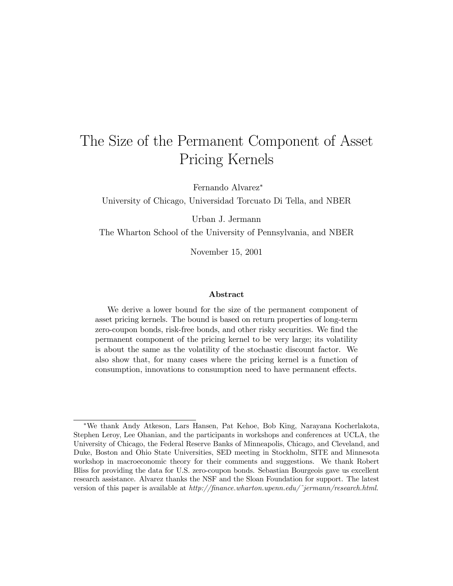# The Size of the Permanent Component of Asset Pricing Kernels

Fernando Alvarez<sup>∗</sup>

University of Chicago, Universidad Torcuato Di Tella, and NBER

Urban J. Jermann

The Wharton School of the University of Pennsylvania, and NBER

November 15, 2001

#### Abstract

We derive a lower bound for the size of the permanent component of asset pricing kernels. The bound is based on return properties of long-term zero-coupon bonds, risk-free bonds, and other risky securities. We find the permanent component of the pricing kernel to be very large; its volatility is about the same as the volatility of the stochastic discount factor. We also show that, for many cases where the pricing kernel is a function of consumption, innovations to consumption need to have permanent effects.

<sup>∗</sup>We thank Andy Atkeson, Lars Hansen, Pat Kehoe, Bob King, Narayana Kocherlakota, Stephen Leroy, Lee Ohanian, and the participants in workshops and conferences at UCLA, the University of Chicago, the Federal Reserve Banks of Minneapolis, Chicago, and Cleveland, and Duke, Boston and Ohio State Universities, SED meeting in Stockholm, SITE and Minnesota workshop in macroeconomic theory for their comments and suggestions. We thank Robert Bliss for providing the data for U.S. zero-coupon bonds. Sebastian Bourgeois gave us excellent research assistance. Alvarez thanks the NSF and the Sloan Foundation for support. The latest version of this paper is available at  $http://finance.whaton.upenn.edu/~jerman/~resarch.html.$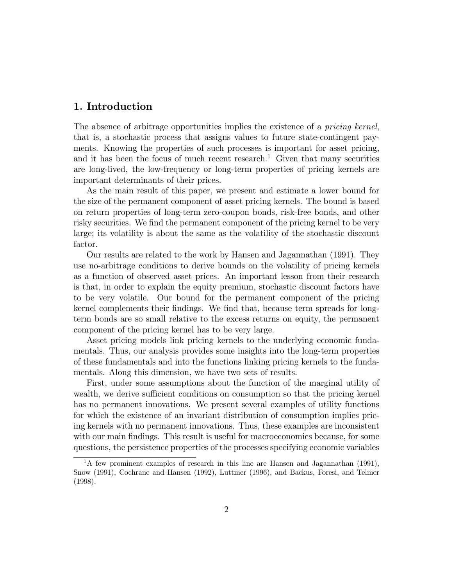### 1. Introduction

The absence of arbitrage opportunities implies the existence of a pricing kernel, that is, a stochastic process that assigns values to future state-contingent payments. Knowing the properties of such processes is important for asset pricing, and it has been the focus of much recent research.<sup>1</sup> Given that many securities are long-lived, the low-frequency or long-term properties of pricing kernels are important determinants of their prices.

As the main result of this paper, we present and estimate a lower bound for the size of the permanent component of asset pricing kernels. The bound is based on return properties of long-term zero-coupon bonds, risk-free bonds, and other risky securities. We find the permanent component of the pricing kernel to be very large; its volatility is about the same as the volatility of the stochastic discount factor.

Our results are related to the work by Hansen and Jagannathan (1991). They use no-arbitrage conditions to derive bounds on the volatility of pricing kernels as a function of observed asset prices. An important lesson from their research is that, in order to explain the equity premium, stochastic discount factors have to be very volatile. Our bound for the permanent component of the pricing kernel complements their findings. We find that, because term spreads for longterm bonds are so small relative to the excess returns on equity, the permanent component of the pricing kernel has to be very large.

Asset pricing models link pricing kernels to the underlying economic fundamentals. Thus, our analysis provides some insights into the long-term properties of these fundamentals and into the functions linking pricing kernels to the fundamentals. Along this dimension, we have two sets of results.

First, under some assumptions about the function of the marginal utility of wealth, we derive sufficient conditions on consumption so that the pricing kernel has no permanent innovations. We present several examples of utility functions for which the existence of an invariant distribution of consumption implies pricing kernels with no permanent innovations. Thus, these examples are inconsistent with our main findings. This result is useful for macroeconomics because, for some questions, the persistence properties of the processes specifying economic variables

<sup>&</sup>lt;sup>1</sup>A few prominent examples of research in this line are Hansen and Jagannathan (1991), Snow (1991), Cochrane and Hansen (1992), Luttmer (1996), and Backus, Foresi, and Telmer (1998).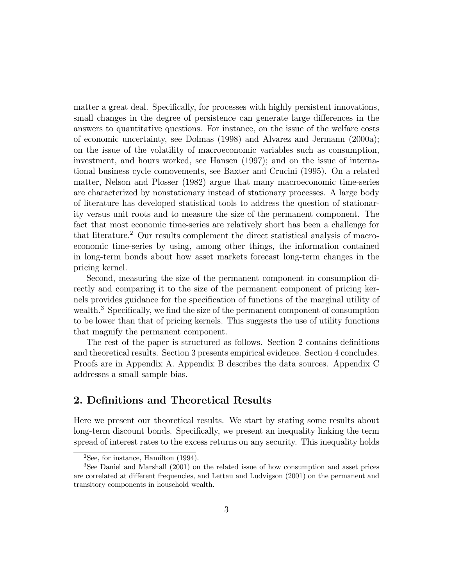matter a great deal. Specifically, for processes with highly persistent innovations, small changes in the degree of persistence can generate large differences in the answers to quantitative questions. For instance, on the issue of the welfare costs of economic uncertainty, see Dolmas (1998) and Alvarez and Jermann (2000a); on the issue of the volatility of macroeconomic variables such as consumption, investment, and hours worked, see Hansen (1997); and on the issue of international business cycle comovements, see Baxter and Crucini (1995). On a related matter, Nelson and Plosser (1982) argue that many macroeconomic time-series are characterized by nonstationary instead of stationary processes. A large body of literature has developed statistical tools to address the question of stationarity versus unit roots and to measure the size of the permanent component. The fact that most economic time-series are relatively short has been a challenge for that literature.<sup>2</sup> Our results complement the direct statistical analysis of macroeconomic time-series by using, among other things, the information contained in long-term bonds about how asset markets forecast long-term changes in the pricing kernel.

Second, measuring the size of the permanent component in consumption directly and comparing it to the size of the permanent component of pricing kernels provides guidance for the specification of functions of the marginal utility of wealth.<sup>3</sup> Specifically, we find the size of the permanent component of consumption to be lower than that of pricing kernels. This suggests the use of utility functions that magnify the permanent component.

The rest of the paper is structured as follows. Section 2 contains definitions and theoretical results. Section 3 presents empirical evidence. Section 4 concludes. Proofs are in Appendix A. Appendix B describes the data sources. Appendix C addresses a small sample bias.

### 2. Definitions and Theoretical Results

Here we present our theoretical results. We start by stating some results about long-term discount bonds. Specifically, we present an inequality linking the term spread of interest rates to the excess returns on any security. This inequality holds

 $2$ See, for instance, Hamilton (1994).

<sup>3</sup>See Daniel and Marshall (2001) on the related issue of how consumption and asset prices are correlated at different frequencies, and Lettau and Ludvigson (2001) on the permanent and transitory components in household wealth.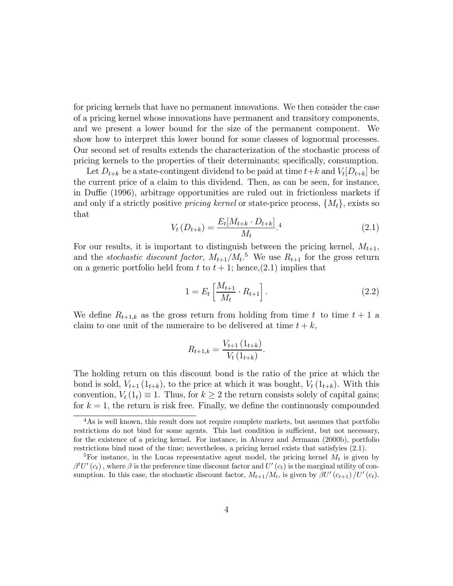for pricing kernels that have no permanent innovations. We then consider the case of a pricing kernel whose innovations have permanent and transitory components, and we present a lower bound for the size of the permanent component. We show how to interpret this lower bound for some classes of lognormal processes. Our second set of results extends the characterization of the stochastic process of pricing kernels to the properties of their determinants; specifically, consumption.

Let  $D_{t+k}$  be a state-contingent dividend to be paid at time  $t+k$  and  $V_t[D_{t+k}]$  be the current price of a claim to this dividend. Then, as can be seen, for instance, in Duffie (1996), arbitrage opportunities are ruled out in frictionless markets if and only if a strictly positive *pricing kernel* or state-price process,  $\{M_t\}$ , exists so that

$$
V_t(D_{t+k}) = \frac{E_t[M_{t+k} \cdot D_{t+k}]}{M_t}.
$$
 (2.1)

For our results, it is important to distinguish between the pricing kernel,  $M_{t+1}$ , and the *stochastic discount factor*,  $M_{t+1}/M_t$ <sup>5</sup> We use  $R_{t+1}$  for the gross return on a generic portfolio held from t to  $t + 1$ ; hence, (2.1) implies that

$$
1 = E_t \left[ \frac{M_{t+1}}{M_t} \cdot R_{t+1} \right]. \tag{2.2}
$$

We define  $R_{t+1,k}$  as the gross return from holding from time t to time  $t+1$  a claim to one unit of the numeraire to be delivered at time  $t + k$ ,

$$
R_{t+1,k} = \frac{V_{t+1} (1_{t+k})}{V_t (1_{t+k})}.
$$

The holding return on this discount bond is the ratio of the price at which the bond is sold,  $V_{t+1}(1_{t+k})$ , to the price at which it was bought,  $V_t(1_{t+k})$ . With this convention,  $V_t(1_t) \equiv 1$ . Thus, for  $k \geq 2$  the return consists solely of capital gains; for  $k = 1$ , the return is risk free. Finally, we define the continuously compounded

<sup>&</sup>lt;sup>4</sup>As is well known, this result does not require complete markets, but assumes that portfolio restrictions do not bind for some agents. This last condition is sufficient, but not necessary, for the existence of a pricing kernel. For instance, in Alvarez and Jermann (2000b), portfolio restrictions bind most of the time; nevertheless, a pricing kernel exists that satisfyies (2.1).

<sup>&</sup>lt;sup>5</sup>For instance, in the Lucas representative agent model, the pricing kernel  $M_t$  is given by  $\beta^t U'(c_t)$ , where  $\beta$  is the preference time discount factor and  $U'(c_t)$  is the marginal utility of consumption. In this case, the stochastic discount factor,  $M_{t+1}/M_t$ , is given by  $\beta U'(c_{t+1})/U'(c_t)$ .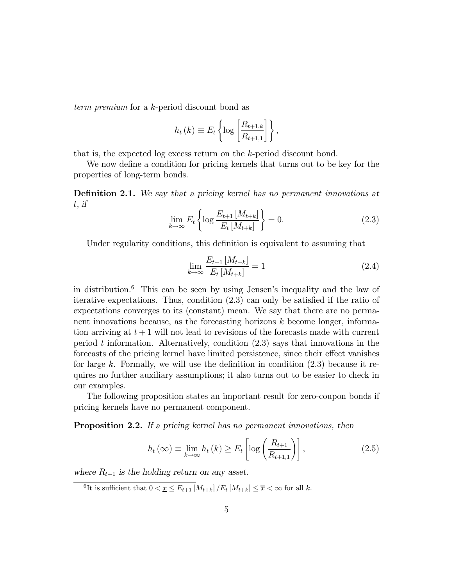term premium for a k-period discount bond as

$$
h_t(k) \equiv E_t \left\{ \log \left[ \frac{R_{t+1,k}}{R_{t+1,1}} \right] \right\},\,
$$

that is, the expected log excess return on the k-period discount bond.

We now define a condition for pricing kernels that turns out to be key for the properties of long-term bonds.

Definition 2.1. We say that a pricing kernel has no permanent innovations at t, if

$$
\lim_{k \to \infty} E_t \left\{ \log \frac{E_{t+1} \left[ M_{t+k} \right]}{E_t \left[ M_{t+k} \right]} \right\} = 0. \tag{2.3}
$$

Under regularity conditions, this definition is equivalent to assuming that

$$
\lim_{k \to \infty} \frac{E_{t+1} [M_{t+k}]}{E_t [M_{t+k}]} = 1
$$
\n(2.4)

in distribution.<sup>6</sup> This can be seen by using Jensen's inequality and the law of iterative expectations. Thus, condition (2.3) can only be satisfied if the ratio of expectations converges to its (constant) mean. We say that there are no permanent innovations because, as the forecasting horizons  $k$  become longer, information arriving at  $t + 1$  will not lead to revisions of the forecasts made with current period t information. Alternatively, condition  $(2.3)$  says that innovations in the forecasts of the pricing kernel have limited persistence, since their effect vanishes for large k. Formally, we will use the definition in condition  $(2.3)$  because it requires no further auxiliary assumptions; it also turns out to be easier to check in our examples.

The following proposition states an important result for zero-coupon bonds if pricing kernels have no permanent component.

Proposition 2.2. If a pricing kernel has no permanent innovations, then

$$
h_t(\infty) \equiv \lim_{k \to \infty} h_t(k) \ge E_t \left[ \log \left( \frac{R_{t+1}}{R_{t+1,1}} \right) \right],
$$
 (2.5)

where  $R_{t+1}$  is the holding return on any asset.

<sup>&</sup>lt;sup>6</sup>It is sufficient that  $0 < \underline{x} \leq E_{t+1} \left[ M_{t+k} \right] / E_t \left[ M_{t+k} \right] \leq \overline{x} < \infty$  for all k.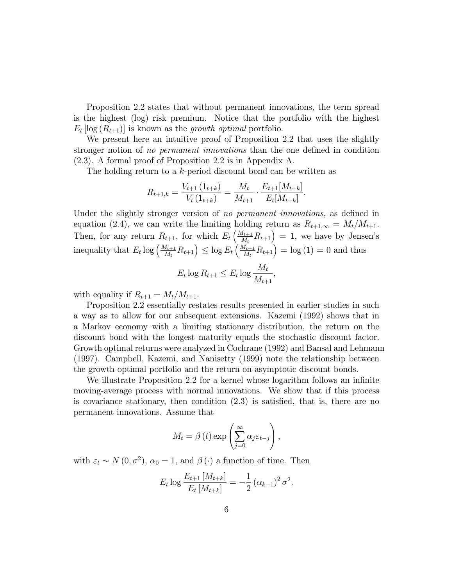Proposition 2.2 states that without permanent innovations, the term spread is the highest (log) risk premium. Notice that the portfolio with the highest  $E_t$  [log  $(R_{t+1})$ ] is known as the *growth optimal* portfolio.

We present here an intuitive proof of Proposition 2.2 that uses the slightly stronger notion of no permanent innovations than the one defined in condition (2.3). A formal proof of Proposition 2.2 is in Appendix A.

The holding return to a k-period discount bond can be written as

$$
R_{t+1,k} = \frac{V_{t+1} (1_{t+k})}{V_t (1_{t+k})} = \frac{M_t}{M_{t+1}} \cdot \frac{E_{t+1} [M_{t+k}]}{E_t [M_{t+k}]}.
$$

Under the slightly stronger version of no permanent innovations, as defined in equation (2.4), we can write the limiting holding return as  $R_{t+1,\infty} = M_t/M_{t+1}$ . Then, for any return  $R_{t+1}$ , for which  $E_t\left(\frac{M_{t+1}}{M_t}R_{t+1}\right) = 1$ , we have by Jensen's inequality that  $E_t \log \left( \frac{M_{t+1}}{M_t} R_{t+1} \right) \leq \log E_t \left( \frac{M_{t+1}}{M_t} R_{t+1} \right) = \log (1) = 0$  and thus

$$
E_t \log R_{t+1} \le E_t \log \frac{M_t}{M_{t+1}},
$$

with equality if  $R_{t+1} = M_t/M_{t+1}$ .

Proposition 2.2 essentially restates results presented in earlier studies in such a way as to allow for our subsequent extensions. Kazemi (1992) shows that in a Markov economy with a limiting stationary distribution, the return on the discount bond with the longest maturity equals the stochastic discount factor. Growth optimal returns were analyzed in Cochrane (1992) and Bansal and Lehmann (1997). Campbell, Kazemi, and Nanisetty (1999) note the relationship between the growth optimal portfolio and the return on asymptotic discount bonds.

We illustrate Proposition 2.2 for a kernel whose logarithm follows an infinite moving-average process with normal innovations. We show that if this process is covariance stationary, then condition (2.3) is satisfied, that is, there are no permanent innovations. Assume that

$$
M_t = \beta(t) \exp\left(\sum_{j=0}^{\infty} \alpha_j \varepsilon_{t-j}\right),\,
$$

with  $\varepsilon_t \sim N(0, \sigma^2)$ ,  $\alpha_0 = 1$ , and  $\beta(\cdot)$  a function of time. Then

$$
E_t \log \frac{E_{t+1} [M_{t+k}]}{E_t [M_{t+k}]} = -\frac{1}{2} (\alpha_{k-1})^2 \sigma^2.
$$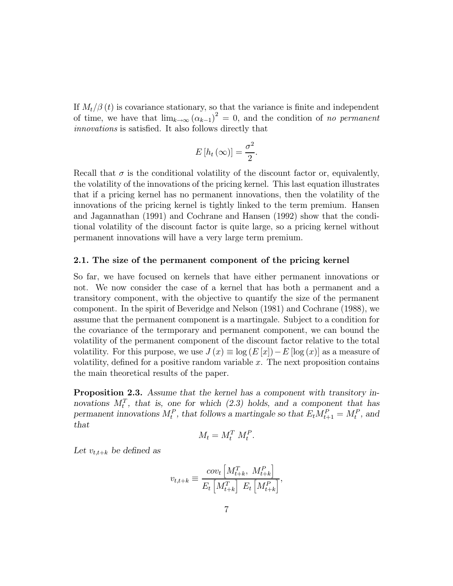If  $M_t/\beta(t)$  is covariance stationary, so that the variance is finite and independent of time, we have that  $\lim_{k\to\infty} (\alpha_{k-1})^2 = 0$ , and the condition of no permanent innovations is satisfied. It also follows directly that

$$
E\left[h_t\left(\infty\right)\right] = \frac{\sigma^2}{2}.
$$

Recall that  $\sigma$  is the conditional volatility of the discount factor or, equivalently, the volatility of the innovations of the pricing kernel. This last equation illustrates that if a pricing kernel has no permanent innovations, then the volatility of the innovations of the pricing kernel is tightly linked to the term premium. Hansen and Jagannathan (1991) and Cochrane and Hansen (1992) show that the conditional volatility of the discount factor is quite large, so a pricing kernel without permanent innovations will have a very large term premium.

#### 2.1. The size of the permanent component of the pricing kernel

So far, we have focused on kernels that have either permanent innovations or not. We now consider the case of a kernel that has both a permanent and a transitory component, with the objective to quantify the size of the permanent component. In the spirit of Beveridge and Nelson (1981) and Cochrane (1988), we assume that the permanent component is a martingale. Subject to a condition for the covariance of the termporary and permanent component, we can bound the volatility of the permanent component of the discount factor relative to the total volatility. For this purpose, we use  $J(x) \equiv \log(E[x]) - E[\log(x)]$  as a measure of volatility, defined for a positive random variable  $x$ . The next proposition contains the main theoretical results of the paper.

Proposition 2.3. Assume that the kernel has a component with transitory innovations  $M_t^T$ , that is, one for which (2.3) holds, and a component that has permanent innovations  $M_t^P$ , that follows a martingale so that  $E_t M_{t+1}^P = M_t^P$ , and that

$$
M_t = M_t^T M_t^P.
$$

Let  $v_{t,t+k}$  be defined as

$$
v_{t,t+k} \equiv \frac{cov_t \left[ M_{t+k}^T, M_{t+k}^P \right]}{E_t \left[ M_{t+k}^T \right] E_t \left[ M_{t+k}^P \right]},
$$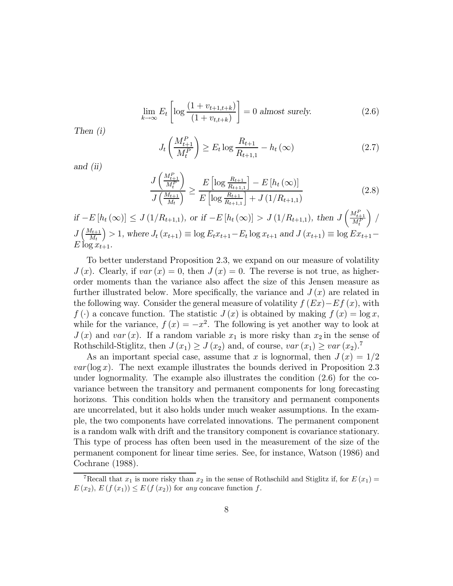$$
\lim_{k \to \infty} E_t \left[ \log \frac{(1 + v_{t+1,t+k})}{(1 + v_{t,t+k})} \right] = 0 \text{ almost surely.}
$$
\n(2.6)

Then (i)

$$
J_t\left(\frac{M_{t+1}^P}{M_t^P}\right) \ge E_t \log \frac{R_{t+1}}{R_{t+1,1}} - h_t(\infty)
$$
\n(2.7)

and (ii)

$$
\frac{J\left(\frac{M_{t+1}^P}{M_t^P}\right)}{J\left(\frac{M_{t+1}}{M_t}\right)} \ge \frac{E\left[\log \frac{R_{t+1}}{R_{t+1,1}}\right] - E\left[h_t\left(\infty\right)\right]}{E\left[\log \frac{R_{t+1}}{R_{t+1,1}}\right] + J\left(1/R_{t+1,1}\right)}\tag{2.8}
$$

if 
$$
-E[h_t(\infty)] \le J(1/R_{t+1,1}),
$$
 or if  $-E[h_t(\infty)] > J(1/R_{t+1,1}),$  then  $J\left(\frac{M_{t+1}^P}{M_t^P}\right) / J\left(\frac{M_{t+1}}{M_t}\right) > 1$ , where  $J_t(x_{t+1}) \equiv \log E_t x_{t+1} - E_t \log x_{t+1}$  and  $J(x_{t+1}) \equiv \log E x_{t+1} - E \log x_{t+1}$ .

To better understand Proposition 2.3, we expand on our measure of volatility  $J(x)$ . Clearly, if  $var(x) = 0$ , then  $J(x) = 0$ . The reverse is not true, as higherorder moments than the variance also affect the size of this Jensen measure as further illustrated below. More specifically, the variance and  $J(x)$  are related in the following way. Consider the general measure of volatility  $f(EX)-Ef(x)$ , with  $f(\cdot)$  a concave function. The statistic  $J(x)$  is obtained by making  $f(x) = \log x$ , while for the variance,  $f(x) = -x^2$ . The following is yet another way to look at  $J(x)$  and var  $(x)$ . If a random variable  $x_1$  is more risky than  $x_2$  in the sense of Rothschild-Stiglitz, then  $J(x_1) \geq J(x_2)$  and, of course,  $var(x_1) \geq var(x_2)$ .

As an important special case, assume that x is lognormal, then  $J(x)=1/2$  $var(\log x)$ . The next example illustrates the bounds derived in Proposition 2.3 under lognormality. The example also illustrates the condition (2.6) for the covariance between the transitory and permanent components for long forecasting horizons. This condition holds when the transitory and permanent components are uncorrelated, but it also holds under much weaker assumptions. In the example, the two components have correlated innovations. The permanent component is a random walk with drift and the transitory component is covariance stationary. This type of process has often been used in the measurement of the size of the permanent component for linear time series. See, for instance, Watson (1986) and Cochrane (1988).

<sup>&</sup>lt;sup>7</sup>Recall that  $x_1$  is more risky than  $x_2$  in the sense of Rothschild and Stiglitz if, for  $E(x_1) =$  $E(x_2), E(f(x_1)) \leq E(f(x_2))$  for any concave function f.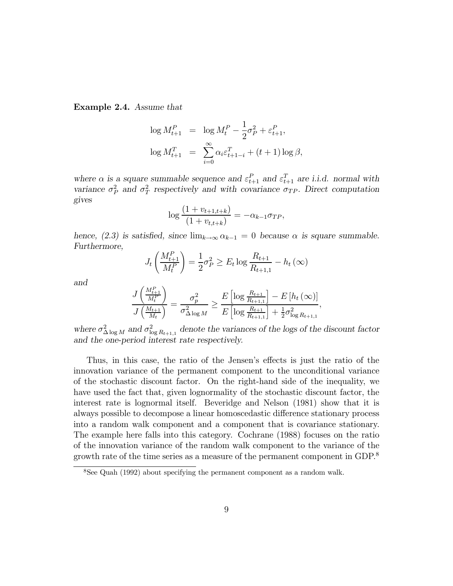Example 2.4. Assume that

$$
\log M_{t+1}^P = \log M_t^P - \frac{1}{2}\sigma_P^2 + \varepsilon_{t+1}^P,
$$
  

$$
\log M_{t+1}^T = \sum_{i=0}^{\infty} \alpha_i \varepsilon_{t+1-i}^T + (t+1) \log \beta,
$$

where  $\alpha$  is a square summable sequence and  $\varepsilon_{t+1}^P$  and  $\varepsilon_{t+1}^T$  are i.i.d. normal with variance  $\sigma_P^2$  and  $\sigma_T^2$  respectively and with covariance  $\sigma_{TP}$ . Direct computation gives

$$
\log \frac{(1 + v_{t+1,t+k})}{(1 + v_{t,t+k})} = -\alpha_{k-1}\sigma_{TP},
$$

hence, (2.3) is satisfied, since  $\lim_{k\to\infty} \alpha_{k-1} = 0$  because  $\alpha$  is square summable. Furthermore,

$$
J_t\left(\frac{M_{t+1}^P}{M_t^P}\right) = \frac{1}{2}\sigma_P^2 \ge E_t \log \frac{R_{t+1}}{R_{t+1,1}} - h_t(\infty)
$$

and

$$
\frac{J\left(\frac{M_{t+1}^P}{M_t^P}\right)}{J\left(\frac{M_{t+1}}{M_t}\right)} = \frac{\sigma_p^2}{\sigma_{\Delta \log M}^2} \ge \frac{E\left[\log \frac{R_{t+1}}{R_{t+1,1}}\right] - E\left[h_t\left(\infty\right)\right]}{E\left[\log \frac{R_{t+1}}{R_{t+1,1}}\right] + \frac{1}{2}\sigma_{\log R_{t+1,1}}^2},
$$

where  $\sigma_{\Delta \log M}^2$  and  $\sigma_{\log R_{t+1,1}}^2$  denote the variances of the logs of the discount factor and the one-period interest rate respectively.

Thus, in this case, the ratio of the Jensen's effects is just the ratio of the innovation variance of the permanent component to the unconditional variance of the stochastic discount factor. On the right-hand side of the inequality, we have used the fact that, given lognormality of the stochastic discount factor, the interest rate is lognormal itself. Beveridge and Nelson (1981) show that it is always possible to decompose a linear homoscedastic difference stationary process into a random walk component and a component that is covariance stationary. The example here falls into this category. Cochrane (1988) focuses on the ratio of the innovation variance of the random walk component to the variance of the growth rate of the time series as a measure of the permanent component in GDP.<sup>8</sup>

<sup>8</sup>See Quah (1992) about specifying the permanent component as a random walk.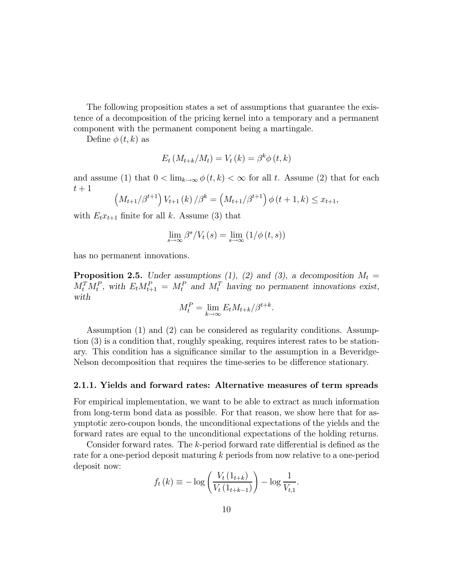The following proposition states a set of assumptions that guarantee the existence of a decomposition of the pricing kernel into a temporary and a permanent component with the permanent component being a martingale.

Define  $\phi(t, k)$  as

$$
E_t\left(M_{t+k}/M_t\right) = V_t\left(k\right) = \beta^k \phi\left(t, k\right)
$$

and assume (1) that  $0 < \lim_{k\to\infty} \phi(t,k) < \infty$  for all t. Assume (2) that for each  $t+1$ 

$$
\left(M_{t+1}/\beta^{t+1}\right)V_{t+1}(k)/\beta^{k} = \left(M_{t+1}/\beta^{t+1}\right)\phi(t+1,k) \leq x_{t+1},
$$

with  $E_t x_{t+1}$  finite for all k. Assume (3) that

$$
\lim_{s \to \infty} \beta^s / V_t(s) = \lim_{s \to \infty} (1/\phi(t, s))
$$

has no permanent innovations.

**Proposition 2.5.** Under assumptions (1), (2) and (3), a decomposition  $M_t =$  $M_t^T M_t^P$ , with  $E_t M_{t+1}^P = M_t^P$  and  $M_t^T$  having no permanent innovations exist, with

$$
M_t^P = \lim_{k \to \infty} E_t M_{t+k} / \beta^{t+k}.
$$

Assumption (1) and (2) can be considered as regularity conditions. Assumption (3) is a condition that, roughly speaking, requires interest rates to be stationary. This condition has a significance similar to the assumption in a Beveridge-Nelson decomposition that requires the time-series to be difference stationary.

#### 2.1.1. Yields and forward rates: Alternative measures of term spreads

For empirical implementation, we want to be able to extract as much information from long-term bond data as possible. For that reason, we show here that for asymptotic zero-coupon bonds, the unconditional expectations of the yields and the forward rates are equal to the unconditional expectations of the holding returns.

Consider forward rates. The k-period forward rate differential is defined as the rate for a one-period deposit maturing k periods from now relative to a one-period deposit now:

$$
f_t(k) \equiv -\log \left( \frac{V_t(1_{t+k})}{V_t(1_{t+k-1})} \right) - \log \frac{1}{V_{t,1}}.
$$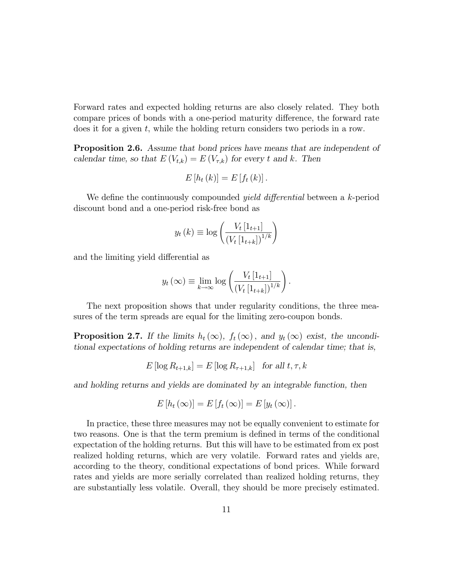Forward rates and expected holding returns are also closely related. They both compare prices of bonds with a one-period maturity difference, the forward rate does it for a given t, while the holding return considers two periods in a row.

**Proposition 2.6.** Assume that bond prices have means that are independent of calendar time, so that  $E(V_{t,k}) = E(V_{\tau,k})$  for every t and k. Then

$$
E\left[h_t(k)\right] = E\left[f_t(k)\right].
$$

We define the continuously compounded *yield differential* between a k-period discount bond and a one-period risk-free bond as

$$
y_t(k) \equiv \log \left( \frac{V_t [1_{t+1}]}{(V_t [1_{t+k}])^{1/k}} \right)
$$

and the limiting yield differential as

$$
y_t(\infty) \equiv \lim_{k \to \infty} \log \left( \frac{V_t \left[ 1_{t+1} \right]}{\left( V_t \left[ 1_{t+k} \right] \right)^{1/k}} \right).
$$

The next proposition shows that under regularity conditions, the three measures of the term spreads are equal for the limiting zero-coupon bonds.

**Proposition 2.7.** If the limits  $h_t(\infty)$ ,  $f_t(\infty)$ , and  $y_t(\infty)$  exist, the unconditional expectations of holding returns are independent of calendar time; that is,

$$
E[\log R_{t+1,k}] = E[\log R_{\tau+1,k}] \text{ for all } t, \tau, k
$$

and holding returns and yields are dominated by an integrable function, then

$$
E[h_t(\infty)] = E[f_t(\infty)] = E[y_t(\infty)].
$$

In practice, these three measures may not be equally convenient to estimate for two reasons. One is that the term premium is defined in terms of the conditional expectation of the holding returns. But this will have to be estimated from ex post realized holding returns, which are very volatile. Forward rates and yields are, according to the theory, conditional expectations of bond prices. While forward rates and yields are more serially correlated than realized holding returns, they are substantially less volatile. Overall, they should be more precisely estimated.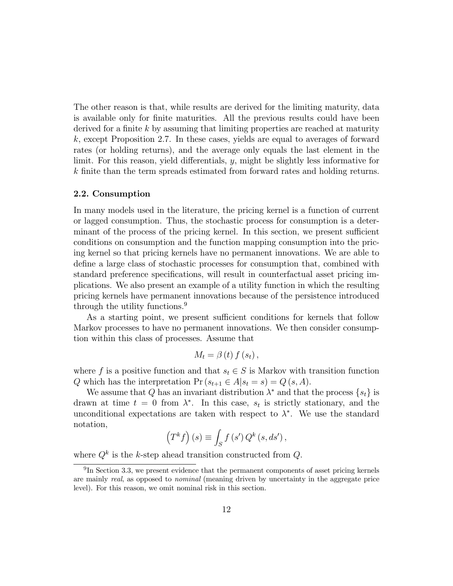The other reason is that, while results are derived for the limiting maturity, data is available only for finite maturities. All the previous results could have been derived for a finite  $k$  by assuming that limiting properties are reached at maturity k, except Proposition 2.7. In these cases, yields are equal to averages of forward rates (or holding returns), and the average only equals the last element in the limit. For this reason, yield differentials, y, might be slightly less informative for k finite than the term spreads estimated from forward rates and holding returns.

#### 2.2. Consumption

In many models used in the literature, the pricing kernel is a function of current or lagged consumption. Thus, the stochastic process for consumption is a determinant of the process of the pricing kernel. In this section, we present sufficient conditions on consumption and the function mapping consumption into the pricing kernel so that pricing kernels have no permanent innovations. We are able to define a large class of stochastic processes for consumption that, combined with standard preference specifications, will result in counterfactual asset pricing implications. We also present an example of a utility function in which the resulting pricing kernels have permanent innovations because of the persistence introduced through the utility functions.<sup>9</sup>

As a starting point, we present sufficient conditions for kernels that follow Markov processes to have no permanent innovations. We then consider consumption within this class of processes. Assume that

$$
M_{t}=\beta\left( t\right) f\left( s_{t}\right) ,
$$

where f is a positive function and that  $s_t \in S$  is Markov with transition function Q which has the interpretation  $Pr(s_{t+1} \in A | s_t = s) = Q(s, A)$ .

We assume that Q has an invariant distribution  $\lambda^*$  and that the process  $\{s_t\}$  is drawn at time  $t = 0$  from  $\lambda^*$ . In this case,  $s_t$  is strictly stationary, and the unconditional expectations are taken with respect to  $\lambda^*$ . We use the standard notation,

$$
\left(T^{k}f\right)\left(s\right)\equiv\int_{S}f\left(s^{\prime}\right)Q^{k}\left(s,ds^{\prime}\right),
$$

where  $Q^k$  is the k-step ahead transition constructed from  $Q$ .

 $^{9}$ In Section 3.3, we present evidence that the permanent components of asset pricing kernels are mainly real, as opposed to nominal (meaning driven by uncertainty in the aggregate price level). For this reason, we omit nominal risk in this section.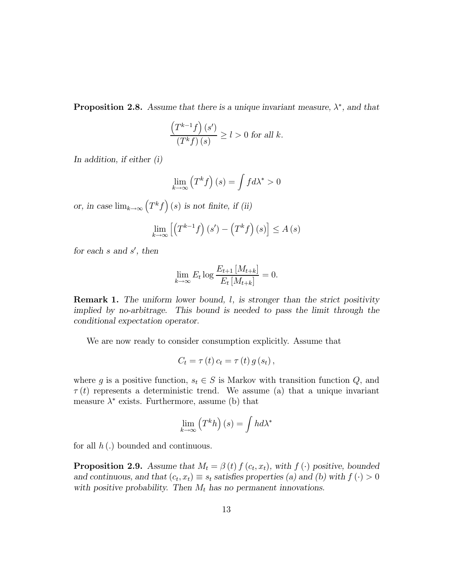**Proposition 2.8.** Assume that there is a unique invariant measure,  $\lambda^*$ , and that

$$
\frac{\left(T^{k-1}f\right)(s')}{\left(T^k f\right)(s)} \ge l > 0 \text{ for all } k.
$$

In addition, if either (i)

$$
\lim_{k \to \infty} \left( T^k f \right)(s) = \int f d\lambda^* > 0
$$

or, in case  $\lim_{k\to\infty} (T^k f)(s)$  is not finite, if (ii)

$$
\lim_{k \to \infty} \left[ \left( T^{k-1} f \right) (s') - \left( T^k f \right) (s) \right] \le A \left( s \right)
$$

for each  $s$  and  $s'$ , then

$$
\lim_{k \to \infty} E_t \log \frac{E_{t+1} [M_{t+k}]}{E_t [M_{t+k}]} = 0.
$$

**Remark 1.** The uniform lower bound, l, is stronger than the strict positivity implied by no-arbitrage. This bound is needed to pass the limit through the conditional expectation operator.

We are now ready to consider consumption explicitly. Assume that

$$
C_t = \tau(t) c_t = \tau(t) g(s_t),
$$

where g is a positive function,  $s_t \in S$  is Markov with transition function  $Q$ , and  $\tau(t)$  represents a deterministic trend. We assume (a) that a unique invariant measure  $\lambda^*$  exists. Furthermore, assume (b) that

$$
\lim_{k \to \infty} \left( T^k h \right)(s) = \int h d\lambda^*
$$

for all  $h(.)$  bounded and continuous.

**Proposition 2.9.** Assume that  $M_t = \beta(t) f(c_t, x_t)$ , with  $f(\cdot)$  positive, bounded and continuous, and that  $(c_t, x_t) \equiv s_t$  satisfies properties (a) and (b) with  $f(\cdot) > 0$ with positive probability. Then  $M_t$  has no permanent innovations.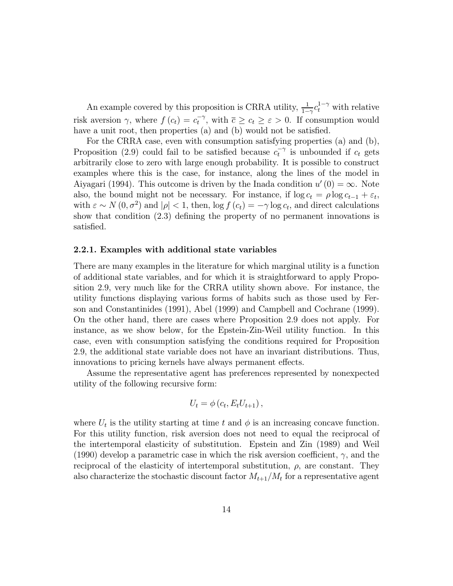An example covered by this proposition is CRRA utility,  $\frac{1}{1-\gamma}c_t^{1-\gamma}$  with relative risk aversion  $\gamma$ , where  $f(c_t) = c_t^{-\gamma}$ , with  $\overline{c} \geq c_t \geq \varepsilon > 0$ . If consumption would have a unit root, then properties (a) and (b) would not be satisfied.

For the CRRA case, even with consumption satisfying properties (a) and (b), Proposition (2.9) could fail to be satisfied because  $c_t^{-\gamma}$  is unbounded if  $c_t$  gets arbitrarily close to zero with large enough probability. It is possible to construct examples where this is the case, for instance, along the lines of the model in Aiyagari (1994). This outcome is driven by the Inada condition  $u'(0) = \infty$ . Note also, the bound might not be necessary. For instance, if  $\log c_t = \rho \log c_{t-1} + \varepsilon_t$ , with  $\varepsilon \sim N(0, \sigma^2)$  and  $|\rho| < 1$ , then,  $\log f(c_t) = -\gamma \log c_t$ , and direct calculations show that condition (2.3) defining the property of no permanent innovations is satisfied.

#### 2.2.1. Examples with additional state variables

There are many examples in the literature for which marginal utility is a function of additional state variables, and for which it is straightforward to apply Proposition 2.9, very much like for the CRRA utility shown above. For instance, the utility functions displaying various forms of habits such as those used by Ferson and Constantinides (1991), Abel (1999) and Campbell and Cochrane (1999). On the other hand, there are cases where Proposition 2.9 does not apply. For instance, as we show below, for the Epstein-Zin-Weil utility function. In this case, even with consumption satisfying the conditions required for Proposition 2.9, the additional state variable does not have an invariant distributions. Thus, innovations to pricing kernels have always permanent effects.

Assume the representative agent has preferences represented by nonexpected utility of the following recursive form:

$$
U_t = \phi(c_t, E_t U_{t+1}),
$$

where  $U_t$  is the utility starting at time t and  $\phi$  is an increasing concave function. For this utility function, risk aversion does not need to equal the reciprocal of the intertemporal elasticity of substitution. Epstein and Zin (1989) and Weil (1990) develop a parametric case in which the risk aversion coefficient,  $\gamma$ , and the reciprocal of the elasticity of intertemporal substitution,  $\rho$ , are constant. They also characterize the stochastic discount factor  $M_{t+1}/M_t$  for a representative agent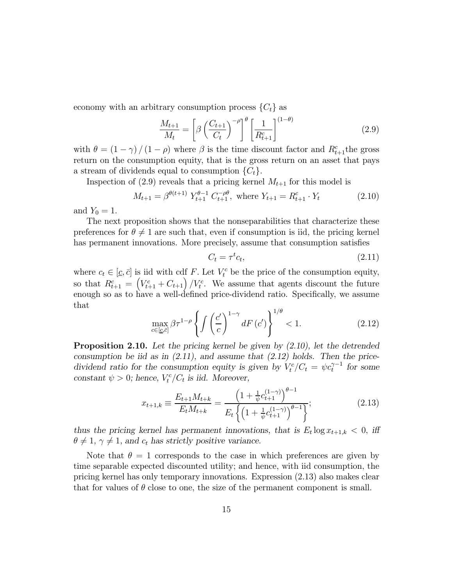economy with an arbitrary consumption process  $\{C_t\}$  as

$$
\frac{M_{t+1}}{M_t} = \left[\beta \left(\frac{C_{t+1}}{C_t}\right)^{-\rho}\right]^{\theta} \left[\frac{1}{R_{t+1}^c}\right]^{(1-\theta)}\tag{2.9}
$$

with  $\theta = (1 - \gamma) / (1 - \rho)$  where  $\beta$  is the time discount factor and  $R_{t+1}^c$  the gross return on the consumption equity, that is the gross return on an asset that pays a stream of dividends equal to consumption  $\{C_t\}.$ 

Inspection of (2.9) reveals that a pricing kernel  $M_{t+1}$  for this model is

$$
M_{t+1} = \beta^{\theta(t+1)} Y_{t+1}^{\theta-1} C_{t+1}^{-\rho\theta}, \text{ where } Y_{t+1} = R_{t+1}^c \cdot Y_t \tag{2.10}
$$

and  $Y_0 = 1$ .

The next proposition shows that the nonseparabilities that characterize these preferences for  $\theta \neq 1$  are such that, even if consumption is iid, the pricing kernel has permanent innovations. More precisely, assume that consumption satisfies

$$
C_t = \tau^t c_t,\tag{2.11}
$$

where  $c_t \in [\underline{c}, \overline{c}]$  is iid with cdf F. Let  $V_t^c$  be the price of the consumption equity, so that  $R_{t+1}^c = (V_{t+1}^c + C_{t+1})/V_t^c$ . We assume that agents discount the future enough so as to have a well-defined price-dividend ratio. Specifically, we assume that

$$
\max_{c \in [\underline{c}, \overline{c}]} \beta \tau^{1-\rho} \left\{ \int \left( \frac{c'}{c} \right)^{1-\gamma} dF\left(c'\right) \right\}^{1/\theta} < 1. \tag{2.12}
$$

Proposition 2.10. Let the pricing kernel be given by  $(2.10)$ , let the detrended consumption be iid as in  $(2.11)$ , and assume that  $(2.12)$  holds. Then the pricedividend ratio for the consumption equity is given by  $V_t^c/C_t = \psi c_t^{\gamma-1}$  for some constant  $\psi > 0$ ; hence,  $V_t^c / C_t$  is iid. Moreover,

$$
x_{t+1,k} \equiv \frac{E_{t+1}M_{t+k}}{E_tM_{t+k}} = \frac{\left(1 + \frac{1}{\psi}c_{t+1}^{(1-\gamma)}\right)^{\theta-1}}{E_t\left\{\left(1 + \frac{1}{\psi}c_{t+1}^{(1-\gamma)}\right)^{\theta-1}\right\}};
$$
\n(2.13)

thus the pricing kernel has permanent innovations, that is  $E_t \log x_{t+1,k} < 0$ , iff  $\theta \neq 1, \gamma \neq 1$ , and  $c_t$  has strictly positive variance.

Note that  $\theta = 1$  corresponds to the case in which preferences are given by time separable expected discounted utility; and hence, with iid consumption, the pricing kernel has only temporary innovations. Expression (2.13) also makes clear that for values of  $\theta$  close to one, the size of the permanent component is small.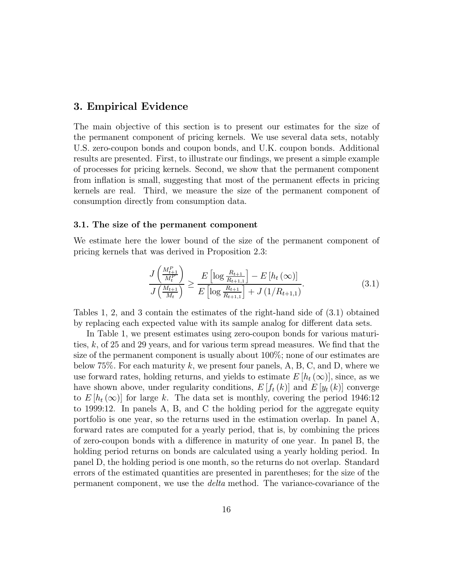### 3. Empirical Evidence

The main objective of this section is to present our estimates for the size of the permanent component of pricing kernels. We use several data sets, notably U.S. zero-coupon bonds and coupon bonds, and U.K. coupon bonds. Additional results are presented. First, to illustrate our findings, we present a simple example of processes for pricing kernels. Second, we show that the permanent component from inflation is small, suggesting that most of the permanent effects in pricing kernels are real. Third, we measure the size of the permanent component of consumption directly from consumption data.

#### 3.1. The size of the permanent component

We estimate here the lower bound of the size of the permanent component of pricing kernels that was derived in Proposition 2.3:

$$
\frac{J\left(\frac{M_{t+1}^P}{M_t^P}\right)}{J\left(\frac{M_{t+1}}{M_t}\right)} \ge \frac{E\left[\log \frac{R_{t+1}}{R_{t+1,1}}\right] - E\left[h_t\left(\infty\right)\right]}{E\left[\log \frac{R_{t+1}}{R_{t+1,1}}\right] + J\left(1/R_{t+1,1}\right)}.\tag{3.1}
$$

Tables 1, 2, and 3 contain the estimates of the right-hand side of (3.1) obtained by replacing each expected value with its sample analog for different data sets.

In Table 1, we present estimates using zero-coupon bonds for various maturities, k, of 25 and 29 years, and for various term spread measures. We find that the size of the permanent component is usually about 100%; none of our estimates are below 75%. For each maturity k, we present four panels, A, B, C, and D, where we use forward rates, holding returns, and yields to estimate  $E[h_t(\infty)]$ , since, as we have shown above, under regularity conditions,  $E[f_t(k)]$  and  $E[y_t(k)]$  converge to  $E[h_t(\infty)]$  for large k. The data set is monthly, covering the period 1946:12 to 1999:12. In panels A, B, and C the holding period for the aggregate equity portfolio is one year, so the returns used in the estimation overlap. In panel A, forward rates are computed for a yearly period, that is, by combining the prices of zero-coupon bonds with a difference in maturity of one year. In panel B, the holding period returns on bonds are calculated using a yearly holding period. In panel D, the holding period is one month, so the returns do not overlap. Standard errors of the estimated quantities are presented in parentheses; for the size of the permanent component, we use the delta method. The variance-covariance of the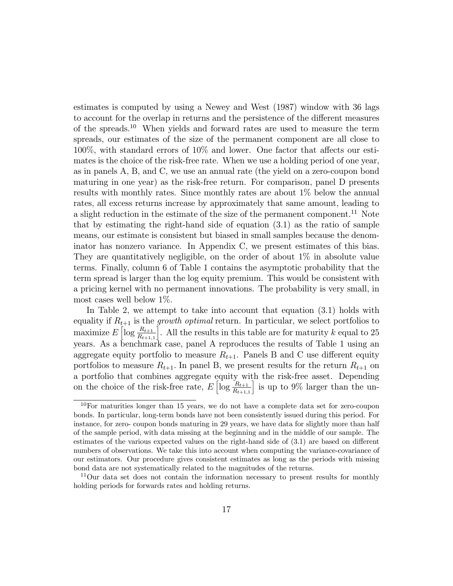estimates is computed by using a Newey and West (1987) window with 36 lags to account for the overlap in returns and the persistence of the different measures of the spreads.<sup>10</sup> When yields and forward rates are used to measure the term spreads, our estimates of the size of the permanent component are all close to 100%, with standard errors of 10% and lower. One factor that affects our estimates is the choice of the risk-free rate. When we use a holding period of one year, as in panels A, B, and C, we use an annual rate (the yield on a zero-coupon bond maturing in one year) as the risk-free return. For comparison, panel D presents results with monthly rates. Since monthly rates are about 1% below the annual rates, all excess returns increase by approximately that same amount, leading to a slight reduction in the estimate of the size of the permanent component.<sup>11</sup> Note that by estimating the right-hand side of equation (3.1) as the ratio of sample means, our estimate is consistent but biased in small samples because the denominator has nonzero variance. In Appendix C, we present estimates of this bias. They are quantitatively negligible, on the order of about 1% in absolute value terms. Finally, column 6 of Table 1 contains the asymptotic probability that the term spread is larger than the log equity premium. This would be consistent with a pricing kernel with no permanent innovations. The probability is very small, in most cases well below 1%.

In Table 2, we attempt to take into account that equation (3.1) holds with equality if  $R_{t+1}$  is the *growth optimal* return. In particular, we select portfolios to maximize  $E\left[\log \frac{R_{t+1}}{R_{t+1,1}}\right]$ . All the results in this table are for maturity  $k$  equal to 25 years. As a benchmark case, panel A reproduces the results of Table 1 using an aggregate equity portfolio to measure  $R_{t+1}$ . Panels B and C use different equity portfolios to measure  $R_{t+1}$ . In panel B, we present results for the return  $R_{t+1}$  on a portfolio that combines aggregate equity with the risk-free asset. Depending on the choice of the risk-free rate,  $E\left[\log \frac{R_{t+1}}{R_{t+1,1}}\right]$ i is up to 9% larger than the un-

 $10$ For maturities longer than 15 years, we do not have a complete data set for zero-coupon bonds. In particular, long-term bonds have not been consistently issued during this period. For instance, for zero- coupon bonds maturing in 29 years, we have data for slightly more than half of the sample period, with data missing at the beginning and in the middle of our sample. The estimates of the various expected values on the right-hand side of (3.1) are based on different numbers of observations. We take this into account when computing the variance-covariance of our estimators. Our procedure gives consistent estimates as long as the periods with missing bond data are not systematically related to the magnitudes of the returns.

 $11$ Our data set does not contain the information necessary to present results for monthly holding periods for forwards rates and holding returns.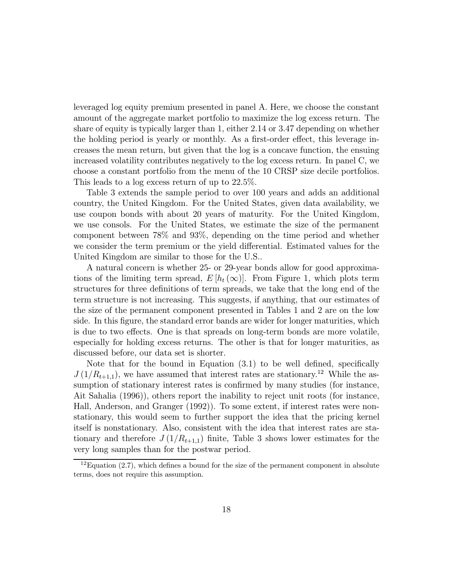leveraged log equity premium presented in panel A. Here, we choose the constant amount of the aggregate market portfolio to maximize the log excess return. The share of equity is typically larger than 1, either 2.14 or 3.47 depending on whether the holding period is yearly or monthly. As a first-order effect, this leverage increases the mean return, but given that the log is a concave function, the ensuing increased volatility contributes negatively to the log excess return. In panel C, we choose a constant portfolio from the menu of the 10 CRSP size decile portfolios. This leads to a log excess return of up to 22.5%.

Table 3 extends the sample period to over 100 years and adds an additional country, the United Kingdom. For the United States, given data availability, we use coupon bonds with about 20 years of maturity. For the United Kingdom, we use consols. For the United States, we estimate the size of the permanent component between 78% and 93%, depending on the time period and whether we consider the term premium or the yield differential. Estimated values for the United Kingdom are similar to those for the U.S..

A natural concern is whether 25- or 29-year bonds allow for good approximations of the limiting term spread,  $E[h_t(\infty)]$ . From Figure 1, which plots term structures for three definitions of term spreads, we take that the long end of the term structure is not increasing. This suggests, if anything, that our estimates of the size of the permanent component presented in Tables 1 and 2 are on the low side. In this figure, the standard error bands are wider for longer maturities, which is due to two effects. One is that spreads on long-term bonds are more volatile, especially for holding excess returns. The other is that for longer maturities, as discussed before, our data set is shorter.

Note that for the bound in Equation (3.1) to be well defined, specifically  $J(1/R_{t+1,1}),$  we have assumed that interest rates are stationary.<sup>12</sup> While the assumption of stationary interest rates is confirmed by many studies (for instance, Ait Sahalia (1996)), others report the inability to reject unit roots (for instance, Hall, Anderson, and Granger (1992)). To some extent, if interest rates were nonstationary, this would seem to further support the idea that the pricing kernel itself is nonstationary. Also, consistent with the idea that interest rates are stationary and therefore  $J(1/R_{t+1,1})$  finite, Table 3 shows lower estimates for the very long samples than for the postwar period.

 $12E$ quation (2.7), which defines a bound for the size of the permanent component in absolute terms, does not require this assumption.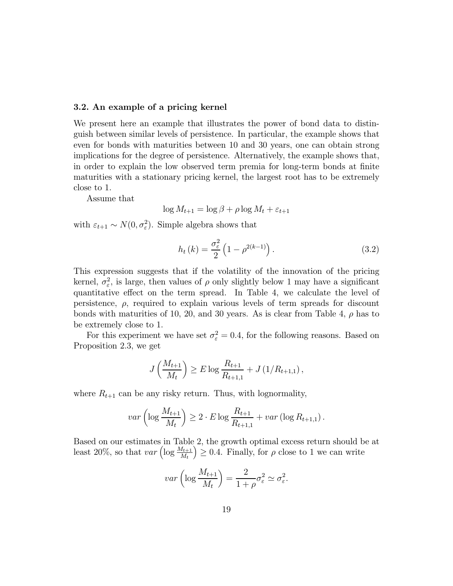#### 3.2. An example of a pricing kernel

We present here an example that illustrates the power of bond data to distinguish between similar levels of persistence. In particular, the example shows that even for bonds with maturities between 10 and 30 years, one can obtain strong implications for the degree of persistence. Alternatively, the example shows that, in order to explain the low observed term premia for long-term bonds at finite maturities with a stationary pricing kernel, the largest root has to be extremely close to 1.

Assume that

$$
\log M_{t+1} = \log \beta + \rho \log M_t + \varepsilon_{t+1}
$$

with  $\varepsilon_{t+1} \sim N(0, \sigma_{\varepsilon}^2)$ . Simple algebra shows that

$$
h_t(k) = \frac{\sigma_{\varepsilon}^2}{2} \left( 1 - \rho^{2(k-1)} \right). \tag{3.2}
$$

This expression suggests that if the volatility of the innovation of the pricing kernel,  $\sigma_{\varepsilon}^2$ , is large, then values of  $\rho$  only slightly below 1 may have a significant quantitative effect on the term spread. In Table 4, we calculate the level of persistence,  $\rho$ , required to explain various levels of term spreads for discount bonds with maturities of 10, 20, and 30 years. As is clear from Table 4,  $\rho$  has to be extremely close to 1.

For this experiment we have set  $\sigma_{\varepsilon}^2 = 0.4$ , for the following reasons. Based on Proposition 2.3, we get

$$
J\left(\frac{M_{t+1}}{M_t}\right) \ge E \log \frac{R_{t+1}}{R_{t+1,1}} + J\left(\frac{1}{R_{t+1,1}}\right),
$$

where  $R_{t+1}$  can be any risky return. Thus, with lognormality,

$$
var\left(\log \frac{M_{t+1}}{M_t}\right) \geq 2 \cdot E \log \frac{R_{t+1}}{R_{t+1,1}} + var\left(\log R_{t+1,1}\right).
$$

Based on our estimates in Table 2, the growth optimal excess return should be at least 20%, so that  $var\left(\log \frac{M_{t+1}}{M_t}\right)$  $\left( \frac{1}{2} \right) \geq 0.4$ . Finally, for  $\rho$  close to 1 we can write

$$
var\left(\log \frac{M_{t+1}}{M_t}\right) = \frac{2}{1+\rho} \sigma_{\varepsilon}^2 \simeq \sigma_{\varepsilon}^2.
$$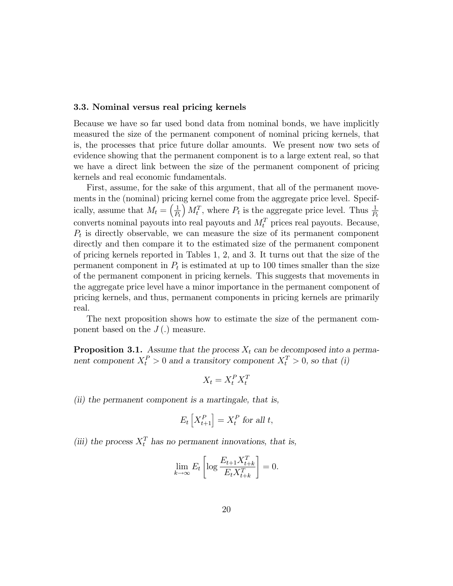#### 3.3. Nominal versus real pricing kernels

Because we have so far used bond data from nominal bonds, we have implicitly measured the size of the permanent component of nominal pricing kernels, that is, the processes that price future dollar amounts. We present now two sets of evidence showing that the permanent component is to a large extent real, so that we have a direct link between the size of the permanent component of pricing kernels and real economic fundamentals.

First, assume, for the sake of this argument, that all of the permanent movements in the (nominal) pricing kernel come from the aggregate price level. Specifically, assume that  $M_t = \left(\frac{1}{P_t}\right)$  $M_t^T$ , where  $P_t$  is the aggregate price level. Thus  $\frac{1}{P_t}$ converts nominal payouts into real payouts and  $M_t^T$  prices real payouts. Because,  $P<sub>t</sub>$  is directly observable, we can measure the size of its permanent component directly and then compare it to the estimated size of the permanent component of pricing kernels reported in Tables 1, 2, and 3. It turns out that the size of the permanent component in  $P_t$  is estimated at up to 100 times smaller than the size of the permanent component in pricing kernels. This suggests that movements in the aggregate price level have a minor importance in the permanent component of pricing kernels, and thus, permanent components in pricing kernels are primarily real.

The next proposition shows how to estimate the size of the permanent component based on the  $J(.)$  measure.

**Proposition 3.1.** Assume that the process  $X_t$  can be decomposed into a permanent component  $X_t^P > 0$  and a transitory component  $X_t^T > 0$ , so that (i)

$$
X_t = X_t^P X_t^T
$$

(ii) the permanent component is a martingale, that is,

$$
E_t\left[X_{t+1}^P\right] = X_t^P
$$
 for all  $t$ ,

(iii) the process  $X_t^T$  has no permanent innovations, that is,

$$
\lim_{k \to \infty} E_t \left[ \log \frac{E_{t+1} X_{t+k}^T}{E_t X_{t+k}^T} \right] = 0.
$$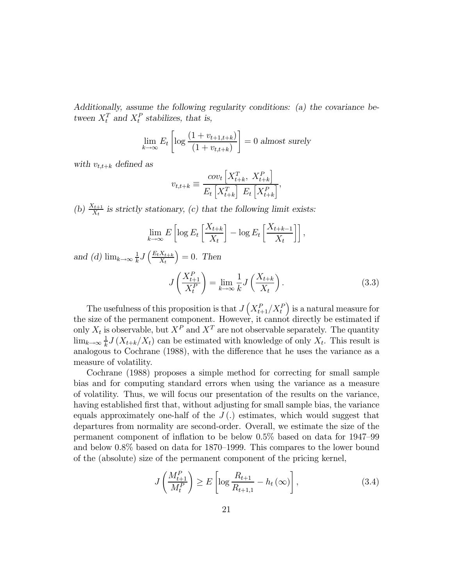Additionally, assume the following regularity conditions: (a) the covariance between  $X_t^T$  and  $X_t^P$  stabilizes, that is,

$$
\lim_{k \to \infty} E_t \left[ \log \frac{(1 + v_{t+1,t+k})}{(1 + v_{t,t+k})} \right] = 0 \text{ almost surely}
$$

with  $v_{t,t+k}$  defined as

$$
v_{t,t+k} \equiv \frac{cov_t \left[ X_{t+k}^T, X_{t+k}^P \right]}{E_t \left[ X_{t+k}^T \right] E_t \left[ X_{t+k}^P \right]},
$$

(b)  $\frac{X_{t+1}}{X_t}$  is strictly stationary, (c) that the following limit exists:

$$
\lim_{k \to \infty} E\left[\log E_t\left[\frac{X_{t+k}}{X_t}\right] - \log E_t\left[\frac{X_{t+k-1}}{X_t}\right]\right],
$$

and (d)  $\lim_{k\to\infty} \frac{1}{k} J\left(\frac{E_t X_{t+k}}{X_t}\right)$  $X_t$  $= 0$ . Then

$$
J\left(\frac{X_{t+1}^P}{X_t^P}\right) = \lim_{k \to \infty} \frac{1}{k} J\left(\frac{X_{t+k}}{X_t}\right). \tag{3.3}
$$

The usefulness of this proposition is that  $J(X_{t+1}^P/X_t^F)$ ) is a natural measure for the size of the permanent component. However, it cannot directly be estimated if only  $X_t$  is observable, but  $X^P$  and  $X^T$  are not observable separately. The quantity  $\lim_{k\to\infty}\frac{1}{k}J(X_{t+k}/X_t)$  can be estimated with knowledge of only  $X_t$ . This result is analogous to Cochrane (1988), with the difference that he uses the variance as a measure of volatility.

Cochrane (1988) proposes a simple method for correcting for small sample bias and for computing standard errors when using the variance as a measure of volatility. Thus, we will focus our presentation of the results on the variance, having established first that, without adjusting for small sample bias, the variance equals approximately one-half of the  $J(.)$  estimates, which would suggest that departures from normality are second-order. Overall, we estimate the size of the permanent component of inflation to be below 0.5% based on data for 1947—99 and below 0.8% based on data for 1870—1999. This compares to the lower bound of the (absolute) size of the permanent component of the pricing kernel,

$$
J\left(\frac{M_{t+1}^P}{M_t^P}\right) \ge E\left[\log \frac{R_{t+1}}{R_{t+1,1}} - h_t(\infty)\right],\tag{3.4}
$$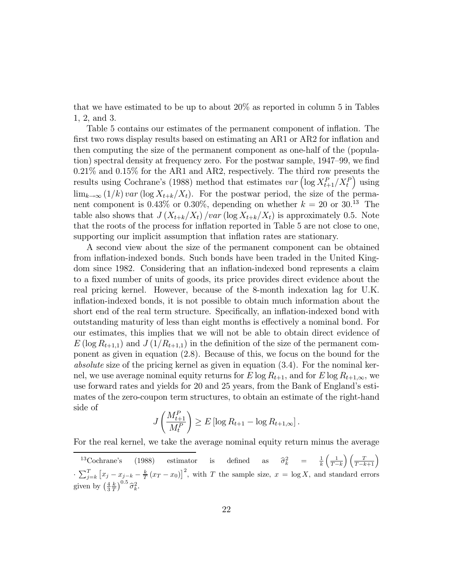that we have estimated to be up to about 20% as reported in column 5 in Tables 1, 2, and 3.

Table 5 contains our estimates of the permanent component of inflation. The first two rows display results based on estimating an AR1 or AR2 for inflation and then computing the size of the permanent component as one-half of the (population) spectral density at frequency zero. For the postwar sample, 1947—99, we find 0.21% and 0.15% for the AR1 and AR2, respectively. The third row presents the results using Cochrane's (1988) method that estimates  $var\left( \log X_{t+1}^P / X_t^P \right)$ ) using  $\lim_{k\to\infty} (1/k) \nu \text{ar} (\log X_{t+k}/X_t)$ . For the postwar period, the size of the permanent component is 0.43% or 0.30%, depending on whether  $k = 20$  or 30.<sup>13</sup> The table also shows that  $J(X_{t+k}/X_t)$  /var (log  $X_{t+k}/X_t$ ) is approximately 0.5. Note that the roots of the process for inflation reported in Table 5 are not close to one, supporting our implicit assumption that inflation rates are stationary.

A second view about the size of the permanent component can be obtained from inflation-indexed bonds. Such bonds have been traded in the United Kingdom since 1982. Considering that an inflation-indexed bond represents a claim to a fixed number of units of goods, its price provides direct evidence about the real pricing kernel. However, because of the 8-month indexation lag for U.K. inflation-indexed bonds, it is not possible to obtain much information about the short end of the real term structure. Specifically, an inflation-indexed bond with outstanding maturity of less than eight months is effectively a nominal bond. For our estimates, this implies that we will not be able to obtain direct evidence of  $E(\log R_{t+1,1})$  and  $J(1/R_{t+1,1})$  in the definition of the size of the permanent component as given in equation (2.8). Because of this, we focus on the bound for the absolute size of the pricing kernel as given in equation (3.4). For the nominal kernel, we use average nominal equity returns for E log  $R_{t+1}$ , and for E log  $R_{t+1,\infty}$ , we use forward rates and yields for 20 and 25 years, from the Bank of England's estimates of the zero-coupon term structures, to obtain an estimate of the right-hand side of

$$
J\left(\frac{M_{t+1}^P}{M_t^P}\right) \ge E\left[\log R_{t+1} - \log R_{t+1,\infty}\right].
$$

For the real kernel, we take the average nominal equity return minus the average

<sup>&</sup>lt;sup>13</sup>Cochrane's (1988) estimator is defined as  $\hat{\sigma}_k^2 = \frac{1}{k} \left( \frac{1}{T-k} \right)$  $\frac{2}{k}$  =  $\frac{1}{k} \left( \frac{1}{T-k} \right) \left( \frac{T}{T-k+1} \right)$  $\cdot \sum_{j=k}^{T} [x_j - x_{j-k} - \frac{k}{T} (x_T - x_0)]^2$ , with T the sample size,  $x = \log X$ , and standard errors given by  $\left(\frac{4}{3}\frac{k}{T}\right)^{0.5}\hat{\sigma}_k^2$ .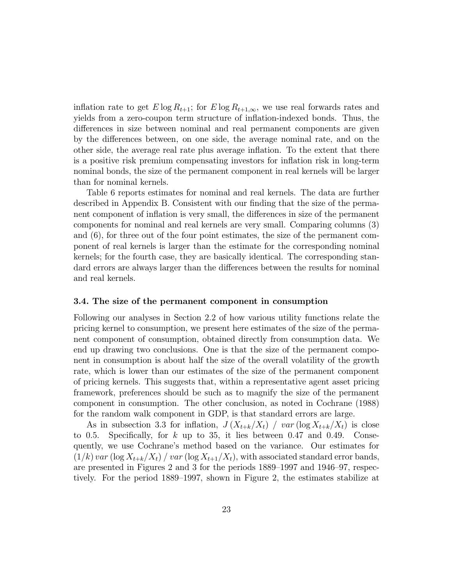inflation rate to get  $E \log R_{t+1}$ ; for  $E \log R_{t+1,\infty}$ , we use real forwards rates and yields from a zero-coupon term structure of inflation-indexed bonds. Thus, the differences in size between nominal and real permanent components are given by the differences between, on one side, the average nominal rate, and on the other side, the average real rate plus average inflation. To the extent that there is a positive risk premium compensating investors for inflation risk in long-term nominal bonds, the size of the permanent component in real kernels will be larger than for nominal kernels.

Table 6 reports estimates for nominal and real kernels. The data are further described in Appendix B. Consistent with our finding that the size of the permanent component of inflation is very small, the differences in size of the permanent components for nominal and real kernels are very small. Comparing columns (3) and (6), for three out of the four point estimates, the size of the permanent component of real kernels is larger than the estimate for the corresponding nominal kernels; for the fourth case, they are basically identical. The corresponding standard errors are always larger than the differences between the results for nominal and real kernels.

#### 3.4. The size of the permanent component in consumption

Following our analyses in Section 2.2 of how various utility functions relate the pricing kernel to consumption, we present here estimates of the size of the permanent component of consumption, obtained directly from consumption data. We end up drawing two conclusions. One is that the size of the permanent component in consumption is about half the size of the overall volatility of the growth rate, which is lower than our estimates of the size of the permanent component of pricing kernels. This suggests that, within a representative agent asset pricing framework, preferences should be such as to magnify the size of the permanent component in consumption. The other conclusion, as noted in Cochrane (1988) for the random walk component in GDP, is that standard errors are large.

As in subsection 3.3 for inflation,  $J(X_{t+k}/X_t)$  /  $var(\log X_{t+k}/X_t)$  is close to 0.5. Specifically, for  $k$  up to 35, it lies between 0.47 and 0.49. Consequently, we use Cochrane's method based on the variance. Our estimates for  $(1/k)$  var  $(\log X_{t+k}/X_t)$  / var  $(\log X_{t+1}/X_t)$ , with associated standard error bands, are presented in Figures 2 and 3 for the periods 1889—1997 and 1946—97, respectively. For the period 1889—1997, shown in Figure 2, the estimates stabilize at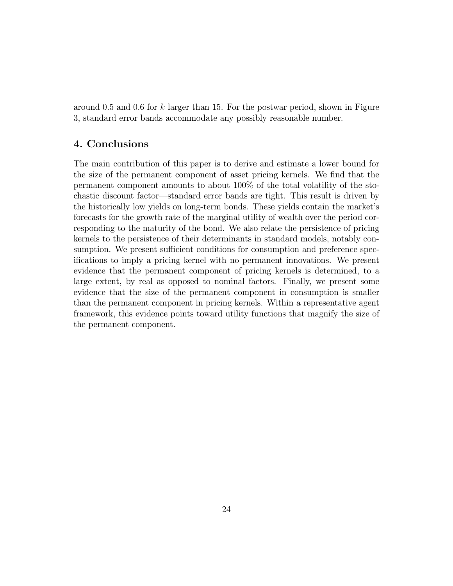around 0.5 and 0.6 for k larger than 15. For the postwar period, shown in Figure 3, standard error bands accommodate any possibly reasonable number.

### 4. Conclusions

The main contribution of this paper is to derive and estimate a lower bound for the size of the permanent component of asset pricing kernels. We find that the permanent component amounts to about 100% of the total volatility of the stochastic discount factor–standard error bands are tight. This result is driven by the historically low yields on long-term bonds. These yields contain the market's forecasts for the growth rate of the marginal utility of wealth over the period corresponding to the maturity of the bond. We also relate the persistence of pricing kernels to the persistence of their determinants in standard models, notably consumption. We present sufficient conditions for consumption and preference specifications to imply a pricing kernel with no permanent innovations. We present evidence that the permanent component of pricing kernels is determined, to a large extent, by real as opposed to nominal factors. Finally, we present some evidence that the size of the permanent component in consumption is smaller than the permanent component in pricing kernels. Within a representative agent framework, this evidence points toward utility functions that magnify the size of the permanent component.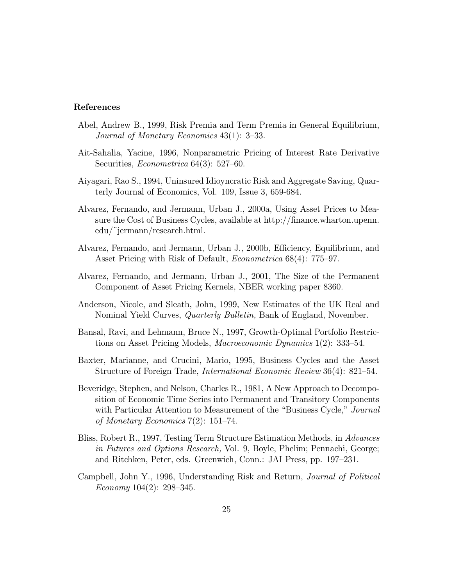#### References

- Abel, Andrew B., 1999, Risk Premia and Term Premia in General Equilibrium, Journal of Monetary Economics 43(1): 3—33.
- Ait-Sahalia, Yacine, 1996, Nonparametric Pricing of Interest Rate Derivative Securities, *Econometrica* 64(3): 527–60.
- Aiyagari, Rao S., 1994, Uninsured Idioyncratic Risk and Aggregate Saving, Quarterly Journal of Economics, Vol. 109, Issue 3, 659-684.
- Alvarez, Fernando, and Jermann, Urban J., 2000a, Using Asset Prices to Measure the Cost of Business Cycles, available at http://finance.wharton.upenn. edu/˜jermann/research.html.
- Alvarez, Fernando, and Jermann, Urban J., 2000b, Efficiency, Equilibrium, and Asset Pricing with Risk of Default, Econometrica 68(4): 775—97.
- Alvarez, Fernando, and Jermann, Urban J., 2001, The Size of the Permanent Component of Asset Pricing Kernels, NBER working paper 8360.
- Anderson, Nicole, and Sleath, John, 1999, New Estimates of the UK Real and Nominal Yield Curves, Quarterly Bulletin, Bank of England, November.
- Bansal, Ravi, and Lehmann, Bruce N., 1997, Growth-Optimal Portfolio Restrictions on Asset Pricing Models, Macroeconomic Dynamics 1(2): 333—54.
- Baxter, Marianne, and Crucini, Mario, 1995, Business Cycles and the Asset Structure of Foreign Trade, International Economic Review 36(4): 821—54.
- Beveridge, Stephen, and Nelson, Charles R., 1981, A New Approach to Decomposition of Economic Time Series into Permanent and Transitory Components with Particular Attention to Measurement of the "Business Cycle," Journal of Monetary Economics 7(2): 151—74.
- Bliss, Robert R., 1997, Testing Term Structure Estimation Methods, in Advances in Futures and Options Research, Vol. 9, Boyle, Phelim; Pennachi, George; and Ritchken, Peter, eds. Greenwich, Conn.: JAI Press, pp. 197—231.
- Campbell, John Y., 1996, Understanding Risk and Return, Journal of Political Economy 104(2): 298—345.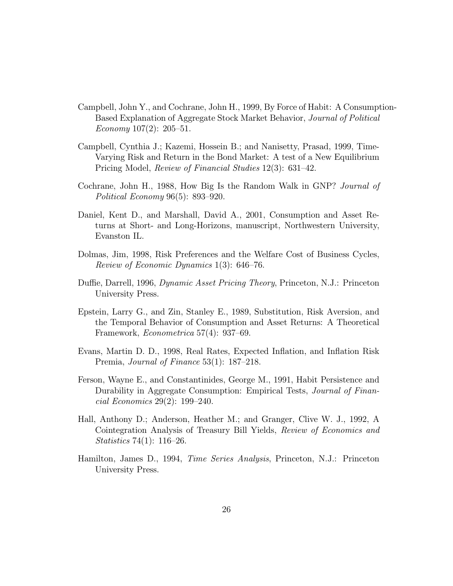- Campbell, John Y., and Cochrane, John H., 1999, By Force of Habit: A Consumption-Based Explanation of Aggregate Stock Market Behavior, Journal of Political Economy  $107(2)$ :  $205-51$ .
- Campbell, Cynthia J.; Kazemi, Hossein B.; and Nanisetty, Prasad, 1999, Time-Varying Risk and Return in the Bond Market: A test of a New Equilibrium Pricing Model, Review of Financial Studies 12(3): 631—42.
- Cochrane, John H., 1988, How Big Is the Random Walk in GNP? Journal of Political Economy 96(5): 893—920.
- Daniel, Kent D., and Marshall, David A., 2001, Consumption and Asset Returns at Short- and Long-Horizons, manuscript, Northwestern University, Evanston IL.
- Dolmas, Jim, 1998, Risk Preferences and the Welfare Cost of Business Cycles, Review of Economic Dynamics 1(3): 646—76.
- Duffie, Darrell, 1996, Dynamic Asset Pricing Theory, Princeton, N.J.: Princeton University Press.
- Epstein, Larry G., and Zin, Stanley E., 1989, Substitution, Risk Aversion, and the Temporal Behavior of Consumption and Asset Returns: A Theoretical Framework, Econometrica 57(4): 937—69.
- Evans, Martin D. D., 1998, Real Rates, Expected Inflation, and Inflation Risk Premia, *Journal of Finance* 53(1): 187–218.
- Ferson, Wayne E., and Constantinides, George M., 1991, Habit Persistence and Durability in Aggregate Consumption: Empirical Tests, Journal of Financial Economics 29(2): 199—240.
- Hall, Anthony D.; Anderson, Heather M.; and Granger, Clive W. J., 1992, A Cointegration Analysis of Treasury Bill Yields, Review of Economics and Statistics 74(1): 116—26.
- Hamilton, James D., 1994, Time Series Analysis, Princeton, N.J.: Princeton University Press.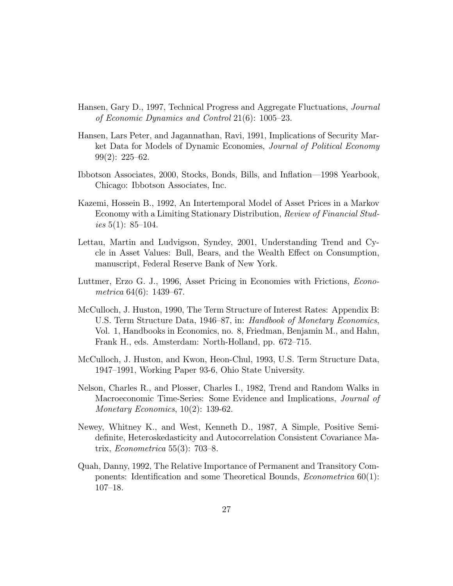- Hansen, Gary D., 1997, Technical Progress and Aggregate Fluctuations, Journal of Economic Dynamics and Control 21(6): 1005—23.
- Hansen, Lars Peter, and Jagannathan, Ravi, 1991, Implications of Security Market Data for Models of Dynamic Economies, Journal of Political Economy 99(2): 225—62.
- Ibbotson Associates, 2000, Stocks, Bonds, Bills, and Inflation–1998 Yearbook, Chicago: Ibbotson Associates, Inc.
- Kazemi, Hossein B., 1992, An Intertemporal Model of Asset Prices in a Markov Economy with a Limiting Stationary Distribution, Review of Financial Studies  $5(1)$ : 85–104.
- Lettau, Martin and Ludvigson, Syndey, 2001, Understanding Trend and Cycle in Asset Values: Bull, Bears, and the Wealth Effect on Consumption, manuscript, Federal Reserve Bank of New York.
- Luttmer, Erzo G. J., 1996, Asset Pricing in Economies with Frictions, Econometrica 64(6): 1439—67.
- McCulloch, J. Huston, 1990, The Term Structure of Interest Rates: Appendix B: U.S. Term Structure Data, 1946–87, in: Handbook of Monetary Economics, Vol. 1, Handbooks in Economics, no. 8, Friedman, Benjamin M., and Hahn, Frank H., eds. Amsterdam: North-Holland, pp. 672—715.
- McCulloch, J. Huston, and Kwon, Heon-Chul, 1993, U.S. Term Structure Data, 1947—1991, Working Paper 93-6, Ohio State University.
- Nelson, Charles R., and Plosser, Charles I., 1982, Trend and Random Walks in Macroeconomic Time-Series: Some Evidence and Implications, Journal of Monetary Economics, 10(2): 139-62.
- Newey, Whitney K., and West, Kenneth D., 1987, A Simple, Positive Semidefinite, Heteroskedasticity and Autocorrelation Consistent Covariance Matrix, Econometrica 55(3): 703—8.
- Quah, Danny, 1992, The Relative Importance of Permanent and Transitory Components: Identification and some Theoretical Bounds, Econometrica 60(1): 107—18.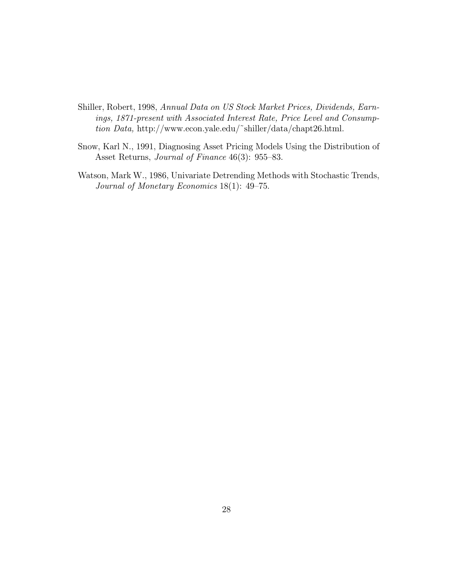- Shiller, Robert, 1998, Annual Data on US Stock Market Prices, Dividends, Earnings, 1871-present with Associated Interest Rate, Price Level and Consumption Data, http://www.econ.yale.edu/˜shiller/data/chapt26.html.
- Snow, Karl N., 1991, Diagnosing Asset Pricing Models Using the Distribution of Asset Returns, *Journal of Finance* 46(3): 955–83.
- Watson, Mark W., 1986, Univariate Detrending Methods with Stochastic Trends, Journal of Monetary Economics 18(1): 49—75.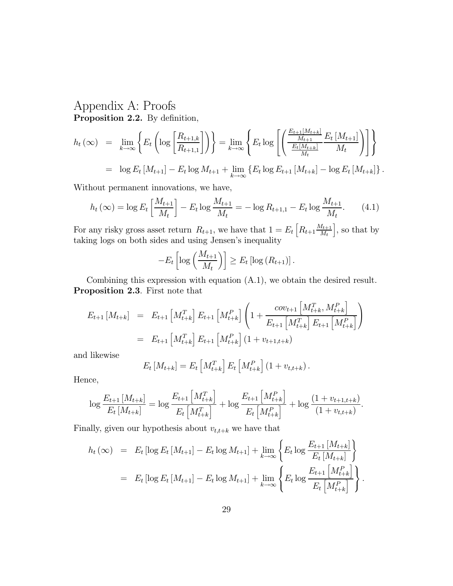# Appendix A: Proofs Proposition 2.2. By definition,

$$
h_t(\infty) = \lim_{k \to \infty} \left\{ E_t \left( \log \left[ \frac{R_{t+1,k}}{R_{t+1,1}} \right] \right) \right\} = \lim_{k \to \infty} \left\{ E_t \log \left[ \left( \frac{\frac{E_{t+1}[M_{t+k}]}{M_{t+1}} E_t [M_{t+1}]}{\frac{E_t [M_{t+k}]}{M_t}} \right) \right] \right\}
$$
  
=  $\log E_t [M_{t+1}] - E_t \log M_{t+1} + \lim_{k \to \infty} \left\{ E_t \log E_{t+1} [M_{t+k}] - \log E_t [M_{t+k}] \right\}.$ 

Without permanent innovations, we have,

$$
h_t(\infty) = \log E_t \left[ \frac{M_{t+1}}{M_t} \right] - E_t \log \frac{M_{t+1}}{M_t} = -\log R_{t+1,1} - E_t \log \frac{M_{t+1}}{M_t}.
$$
 (4.1)

For any risky gross asset return  $R_{t+1}$ , we have that  $1 = E_t \left[ R_{t+1} \frac{M_{t+1}}{M_t} \right]$  $M_t$  $\big]$ , so that by taking logs on both sides and using Jensen's inequality

$$
-E_t\left[\log\left(\frac{M_{t+1}}{M_t}\right)\right] \geq E_t\left[\log\left(R_{t+1}\right)\right].
$$

Combining this expression with equation (A.1), we obtain the desired result. Proposition 2.3. First note that

$$
E_{t+1}[M_{t+k}] = E_{t+1}[M_{t+k}^T] E_{t+1}[M_{t+k}^P] \left(1 + \frac{cov_{t+1}[M_{t+k}^T, M_{t+k}^P]}{E_{t+1}[M_{t+k}^T] E_{t+1}[M_{t+k}^P]}\right)
$$
  
=  $E_{t+1}[M_{t+k}^T] E_{t+1}[M_{t+k}^P] (1 + v_{t+1,t+k})$ 

and likewise

$$
E_t\left[M_{t+k}\right] = E_t\left[M_{t+k}^T\right]E_t\left[M_{t+k}^P\right]\left(1 + v_{t,t+k}\right).
$$

Hence,

$$
\log \frac{E_{t+1}\left[M_{t+k}\right]}{E_t\left[M_{t+k}\right]} = \log \frac{E_{t+1}\left[M_{t+k}^T\right]}{E_t\left[M_{t+k}^T\right]} + \log \frac{E_{t+1}\left[M_{t+k}^P\right]}{E_t\left[M_{t+k}^P\right]} + \log \frac{\left(1 + v_{t+1,t+k}\right)}{\left(1 + v_{t,t+k}\right)}.
$$

Finally, given our hypothesis about  $v_{t,t+k}$  we have that

$$
h_t(\infty) = E_t [\log E_t [M_{t+1}] - E_t \log M_{t+1}] + \lim_{k \to \infty} \left\{ E_t \log \frac{E_{t+1} [M_{t+k}]}{E_t [M_{t+k}]} \right\}
$$
  
= 
$$
E_t [\log E_t [M_{t+1}] - E_t \log M_{t+1}] + \lim_{k \to \infty} \left\{ E_t \log \frac{E_{t+1} [M_{t+k}^P]}{E_t [M_{t+k}^P]} \right\}.
$$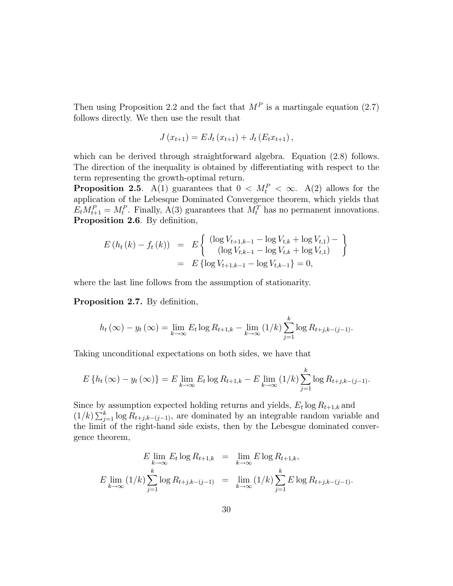Then using Proposition 2.2 and the fact that  $M<sup>P</sup>$  is a martingale equation (2.7) follows directly. We then use the result that

$$
J(x_{t+1}) = E J_t(x_{t+1}) + J_t(E_t x_{t+1}),
$$

which can be derived through straightforward algebra. Equation  $(2.8)$  follows. The direction of the inequality is obtained by differentiating with respect to the term representing the growth-optimal return.

**Proposition 2.5.** A(1) guarantees that  $0 < M_t^P < \infty$ . A(2) allows for the application of the Lebesque Dominated Convergence theorem, which yields that  $E_t M_{t+1}^P = M_t^P$ . Finally, A(3) guarantees that  $M_t^T$  has no permanent innovations. Proposition 2.6. By definition,

$$
E(h_t(k) - f_t(k)) = E\left\{\begin{array}{l l} (\log V_{t+1,k-1} - \log V_{t,k} + \log V_{t,1}) - \\ (\log V_{t,k-1} - \log V_{t,k} + \log V_{t,1}) \\ = E\left\{\log V_{t+1,k-1} - \log V_{t,k-1}\right\} = 0,\end{array}\right\}
$$

where the last line follows from the assumption of stationarity.

Proposition 2.7. By definition,

$$
h_t(\infty) - y_t(\infty) = \lim_{k \to \infty} E_t \log R_{t+1,k} - \lim_{k \to \infty} (1/k) \sum_{j=1}^k \log R_{t+j,k-(j-1)}.
$$

Taking unconditional expectations on both sides, we have that

$$
E\left\{h_t(\infty) - y_t(\infty)\right\} = E\lim_{k \to \infty} E_t \log R_{t+1,k} - E\lim_{k \to \infty} (1/k) \sum_{j=1}^k \log R_{t+j,k-(j-1)}.
$$

Since by assumption expected holding returns and yields,  $E_t \log R_{t+1,k}$  and  $(1/k)\sum_{j=1}^{k} \log R_{t+j,k-(j-1)}$ , are dominated by an integrable random variable and the limit of the right-hand side exists, then by the Lebesgue dominated convergence theorem,

$$
E \lim_{k \to \infty} E_t \log R_{t+1,k} = \lim_{k \to \infty} E \log R_{t+1,k},
$$
  

$$
E \lim_{k \to \infty} (1/k) \sum_{j=1}^k \log R_{t+j,k-(j-1)} = \lim_{k \to \infty} (1/k) \sum_{j=1}^k E \log R_{t+j,k-(j-1)}.
$$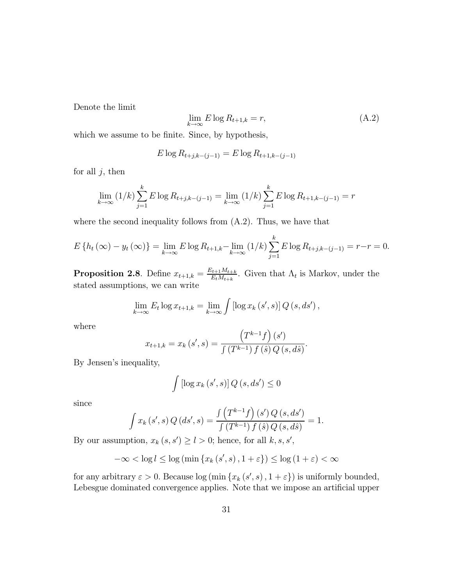Denote the limit

$$
\lim_{k \to \infty} E \log R_{t+1,k} = r,\tag{A.2}
$$

which we assume to be finite. Since, by hypothesis,

$$
E \log R_{t+j,k-(j-1)} = E \log R_{t+1,k-(j-1)}
$$

for all  $j$ , then

$$
\lim_{k \to \infty} (1/k) \sum_{j=1}^{k} E \log R_{t+j,k-(j-1)} = \lim_{k \to \infty} (1/k) \sum_{j=1}^{k} E \log R_{t+1,k-(j-1)} = r
$$

where the second inequality follows from (A.2). Thus, we have that

$$
E\left\{h_t(\infty) - y_t(\infty)\right\} = \lim_{k \to \infty} E\log R_{t+1,k} - \lim_{k \to \infty} (1/k) \sum_{j=1}^k E\log R_{t+j,k-(j-1)} = r-r = 0.
$$

**Proposition 2.8**. Define  $x_{t+1,k} = \frac{E_{t+1}M_{t+k}}{E_tM_{t+k}}$ . Given that  $\Lambda_t$  is Markov, under the stated assumptions, we can write

$$
\lim_{k \to \infty} E_t \log x_{t+1,k} = \lim_{k \to \infty} \int [\log x_k (s', s)] Q(s, ds'),
$$

where

$$
x_{t+1,k} = x_k(s',s) = \frac{\left(T^{k-1}f\right)(s')}{\int \left(T^{k-1}\right)f\left(s\right)Q\left(s,d\hat{s}\right)}.
$$

By Jensen's inequality,

$$
\int \left[ \log x_k \left( s', s \right) \right] Q \left( s, ds' \right) \leq 0
$$

since

$$
\int x_k(s',s) Q(ds',s) = \frac{\int (T^{k-1}f)(s') Q(s,ds')}{\int (T^{k-1}) f(\hat{s}) Q(s,d\hat{s})} = 1.
$$

By our assumption,  $x_k(s, s') \ge l > 0$ ; hence, for all  $k, s, s'$ ,

$$
-\infty < \log l \le \log \left( \min \left\{ x_k \left( s', s \right), 1 + \varepsilon \right\} \right) \le \log \left( 1 + \varepsilon \right) < \infty
$$

for any arbitrary  $\varepsilon > 0$ . Because  $\log \left( \min \left\{ x_k \left( s', s \right), 1 + \varepsilon \right\} \right)$  is uniformly bounded, Lebesgue dominated convergence applies. Note that we impose an artificial upper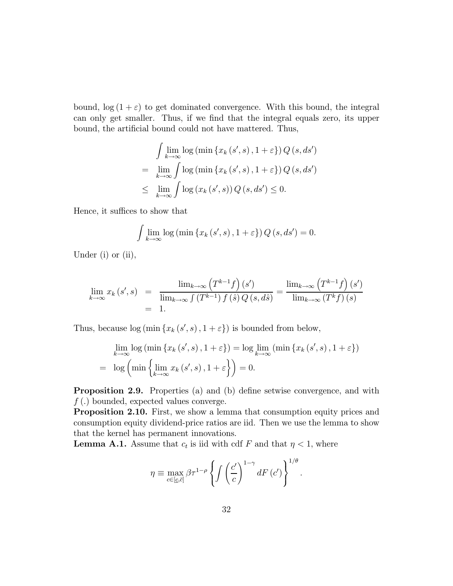bound,  $\log(1+\varepsilon)$  to get dominated convergence. With this bound, the integral can only get smaller. Thus, if we find that the integral equals zero, its upper bound, the artificial bound could not have mattered. Thus,

$$
\int \lim_{k \to \infty} \log \left( \min \left\{ x_k \left( s', s \right), 1 + \varepsilon \right\} \right) Q \left( s, ds' \right)
$$

$$
= \lim_{k \to \infty} \int \log \left( \min \left\{ x_k \left( s', s \right), 1 + \varepsilon \right\} \right) Q \left( s, ds' \right)
$$

$$
\leq \lim_{k \to \infty} \int \log \left( x_k \left( s', s \right) \right) Q \left( s, ds' \right) \leq 0.
$$

Hence, it suffices to show that

$$
\int \lim_{k \to \infty} \log \left( \min \left\{ x_k \left( s', s \right), 1 + \varepsilon \right\} \right) Q \left( s, ds' \right) = 0.
$$

Under  $(i)$  or  $(ii)$ ,

$$
\lim_{k \to \infty} x_k(s', s) = \frac{\lim_{k \to \infty} (T^{k-1}f)(s')}{\lim_{k \to \infty} \int (T^{k-1}) f(s) Q(s, d\hat{s})} = \frac{\lim_{k \to \infty} (T^{k-1}f)(s')}{\lim_{k \to \infty} (T^k f)(s)}
$$
\n
$$
= 1.
$$

Thus, because  $log (min \{x_k(s', s), 1 + \varepsilon\})$  is bounded from below,

$$
\lim_{k \to \infty} \log \left( \min \left\{ x_k \left( s', s \right), 1 + \varepsilon \right\} \right) = \log \lim_{k \to \infty} \left( \min \left\{ x_k \left( s', s \right), 1 + \varepsilon \right\} \right)
$$
\n
$$
= \log \left( \min \left\{ \lim_{k \to \infty} x_k \left( s', s \right), 1 + \varepsilon \right\} \right) = 0.
$$

Proposition 2.9. Properties (a) and (b) define setwise convergence, and with  $f(.)$  bounded, expected values converge.

Proposition 2.10. First, we show a lemma that consumption equity prices and consumption equity dividend-price ratios are iid. Then we use the lemma to show that the kernel has permanent innovations.

**Lemma A.1.** Assume that  $c_t$  is iid with cdf F and that  $\eta < 1$ , where

$$
\eta \equiv \max_{c \in [c,\bar{c}]} \beta \tau^{1-\rho} \left\{ \int \left( \frac{c'}{c} \right)^{1-\gamma} dF\left(c'\right) \right\}^{1/\theta}.
$$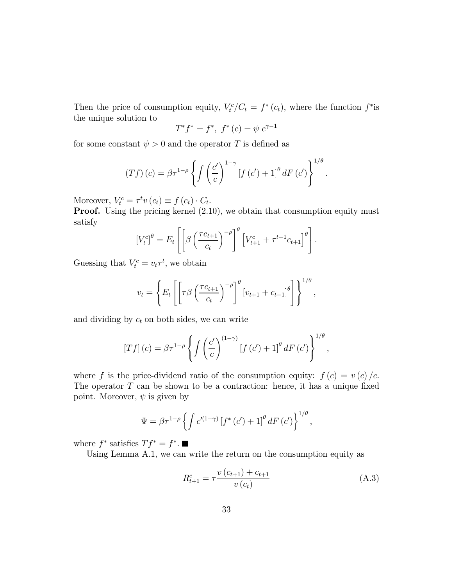Then the price of consumption equity,  $V_t^c/C_t = f^*(c_t)$ , where the function  $f^*$  is the unique solution to

$$
T^*f^* = f^*, \ f^*(c) = \psi \ c^{\gamma - 1}
$$

for some constant  $\psi > 0$  and the operator T is defined as

$$
(Tf)(c) = \beta \tau^{1-\rho} \left\{ \int \left(\frac{c'}{c}\right)^{1-\gamma} \left[f(c') + 1\right]^{\theta} dF(c') \right\}^{1/\theta}.
$$

Moreover,  $V_t^c = \tau^t v(c_t) \equiv f(c_t) \cdot C_t$ .

Proof. Using the pricing kernel  $(2.10)$ , we obtain that consumption equity must satisfy

$$
\left[V_t^c\right]^\theta = E_t \left[ \left[\beta \left(\frac{\tau c_{t+1}}{c_t}\right)^{-\rho}\right]^\theta \left[V_{t+1}^c + \tau^{t+1} c_{t+1}\right]^\theta \right].
$$

Guessing that  $V_t^c = v_t \tau^t$ , we obtain

$$
v_t = \left\{ E_t \left[ \left[ \tau \beta \left( \frac{\tau c_{t+1}}{c_t} \right)^{-\rho} \right]^\theta \left[ v_{t+1} + c_{t+1} \right]^\theta \right] \right\}^{1/\theta},
$$

and dividing by  $c_t$  on both sides, we can write

$$
\left[Tf\right](c) = \beta \tau^{1-\rho} \left\{ \int \left(\frac{c'}{c}\right)^{(1-\gamma)} \left[f\left(c'\right) + 1\right]^{\theta} dF\left(c'\right) \right\}^{1/\theta},\,
$$

where f is the price-dividend ratio of the consumption equity:  $f(c) = v(c)/c$ . The operator  $T$  can be shown to be a contraction: hence, it has a unique fixed point. Moreover,  $\psi$  is given by

$$
\Psi = \beta \tau^{1-\rho} \left\{ \int c^{\prime(1-\gamma)} \left[ f^*(c') + 1 \right]^{\theta} dF(c') \right\}^{1/\theta},
$$

where  $f^*$  satisfies  $T f^* = f^*$ .

Using Lemma A.1, we can write the return on the consumption equity as

$$
R_{t+1}^{c} = \tau \frac{v(c_{t+1}) + c_{t+1}}{v(c_t)}
$$
\n(A.3)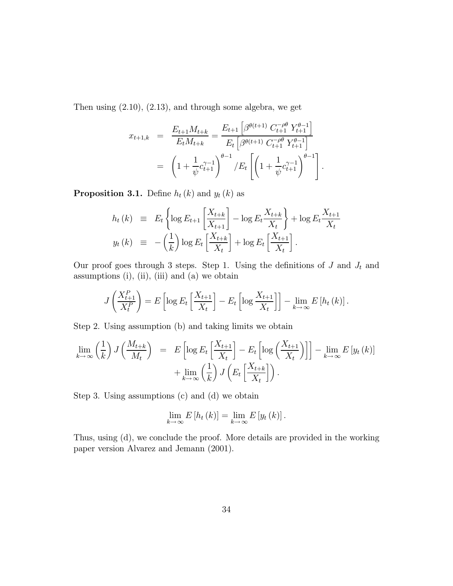Then using (2.10), (2.13), and through some algebra, we get

$$
x_{t+1,k} = \frac{E_{t+1}M_{t+k}}{E_tM_{t+k}} = \frac{E_{t+1}\left[\beta^{\theta(t+1)} C_{t+1}^{-\rho\theta} Y_{t+1}^{\theta-1}\right]}{E_t\left[\beta^{\theta(t+1)} C_{t+1}^{-\rho\theta} Y_{t+1}^{\theta-1}\right]}
$$

$$
= \left(1 + \frac{1}{\psi} c_{t+1}^{\gamma-1}\right)^{\theta-1} / E_t\left[\left(1 + \frac{1}{\psi} c_{t+1}^{\gamma-1}\right)^{\theta-1}\right].
$$

**Proposition 3.1.** Define  $h_t(k)$  and  $y_t(k)$  as

$$
h_t(k) \equiv E_t \left\{ \log E_{t+1} \left[ \frac{X_{t+k}}{X_{t+1}} \right] - \log E_t \frac{X_{t+k}}{X_t} \right\} + \log E_t \frac{X_{t+1}}{X_t}
$$
  

$$
y_t(k) \equiv -\left(\frac{1}{k}\right) \log E_t \left[ \frac{X_{t+k}}{X_t} \right] + \log E_t \left[ \frac{X_{t+1}}{X_t} \right].
$$

Our proof goes through 3 steps. Step 1. Using the definitions of  $J$  and  $J_t$  and assumptions (i), (ii), (iii) and (a) we obtain

$$
J\left(\frac{X_{t+1}^P}{X_t^P}\right) = E\left[\log E_t\left[\frac{X_{t+1}}{X_t}\right] - E_t\left[\log \frac{X_{t+1}}{X_t}\right]\right] - \lim_{k \to \infty} E\left[h_t\left(k\right)\right].
$$

Step 2. Using assumption (b) and taking limits we obtain

$$
\lim_{k \to \infty} \left(\frac{1}{k}\right) J\left(\frac{M_{t+k}}{M_t}\right) = E\left[\log E_t \left[\frac{X_{t+1}}{X_t}\right] - E_t \left[\log \left(\frac{X_{t+1}}{X_t}\right)\right]\right] - \lim_{k \to \infty} E\left[y_t(k)\right] + \lim_{k \to \infty} \left(\frac{1}{k}\right) J\left(E_t \left[\frac{X_{t+k}}{X_t}\right]\right).
$$

Step 3. Using assumptions (c) and (d) we obtain

$$
\lim_{k\to\infty} E\left[h_t(k)\right] = \lim_{k\to\infty} E\left[y_t(k)\right].
$$

Thus, using (d), we conclude the proof. More details are provided in the working paper version Alvarez and Jemann (2001).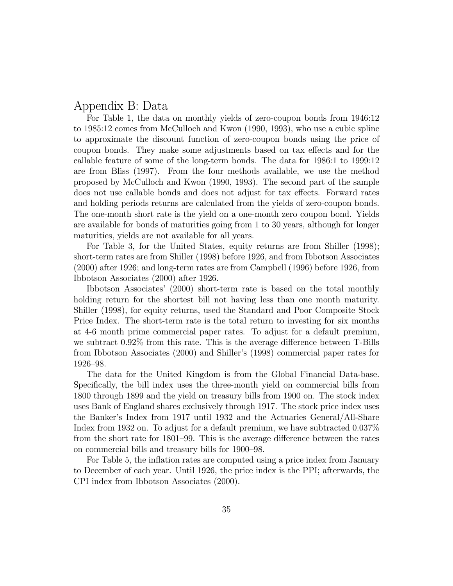### Appendix B: Data

For Table 1, the data on monthly yields of zero-coupon bonds from 1946:12 to 1985:12 comes from McCulloch and Kwon (1990, 1993), who use a cubic spline to approximate the discount function of zero-coupon bonds using the price of coupon bonds. They make some adjustments based on tax effects and for the callable feature of some of the long-term bonds. The data for 1986:1 to 1999:12 are from Bliss (1997). From the four methods available, we use the method proposed by McCulloch and Kwon (1990, 1993). The second part of the sample does not use callable bonds and does not adjust for tax effects. Forward rates and holding periods returns are calculated from the yields of zero-coupon bonds. The one-month short rate is the yield on a one-month zero coupon bond. Yields are available for bonds of maturities going from 1 to 30 years, although for longer maturities, yields are not available for all years.

For Table 3, for the United States, equity returns are from Shiller (1998); short-term rates are from Shiller (1998) before 1926, and from Ibbotson Associates (2000) after 1926; and long-term rates are from Campbell (1996) before 1926, from Ibbotson Associates (2000) after 1926.

Ibbotson Associates' (2000) short-term rate is based on the total monthly holding return for the shortest bill not having less than one month maturity. Shiller (1998), for equity returns, used the Standard and Poor Composite Stock Price Index. The short-term rate is the total return to investing for six months at 4-6 month prime commercial paper rates. To adjust for a default premium, we subtract 0.92% from this rate. This is the average difference between T-Bills from Ibbotson Associates (2000) and Shiller's (1998) commercial paper rates for 1926—98.

The data for the United Kingdom is from the Global Financial Data-base. Specifically, the bill index uses the three-month yield on commercial bills from 1800 through 1899 and the yield on treasury bills from 1900 on. The stock index uses Bank of England shares exclusively through 1917. The stock price index uses the Banker's Index from 1917 until 1932 and the Actuaries General/All-Share Index from 1932 on. To adjust for a default premium, we have subtracted 0.037% from the short rate for 1801—99. This is the average difference between the rates on commercial bills and treasury bills for 1900—98.

For Table 5, the inflation rates are computed using a price index from January to December of each year. Until 1926, the price index is the PPI; afterwards, the CPI index from Ibbotson Associates (2000).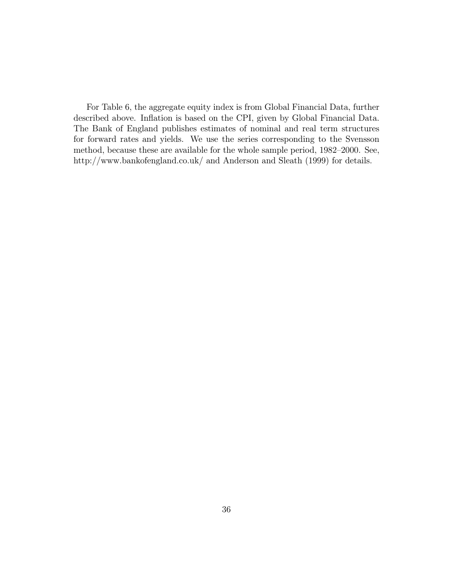For Table 6, the aggregate equity index is from Global Financial Data, further described above. Inflation is based on the CPI, given by Global Financial Data. The Bank of England publishes estimates of nominal and real term structures for forward rates and yields. We use the series corresponding to the Svensson method, because these are available for the whole sample period, 1982—2000. See, http://www.bankofengland.co.uk/ and Anderson and Sleath (1999) for details.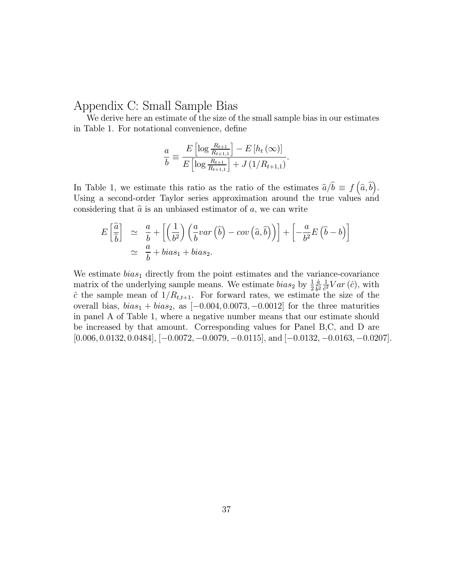## Appendix C: Small Sample Bias

We derive here an estimate of the size of the small sample bias in our estimates in Table 1. For notational convenience, define

$$
\frac{a}{b} \equiv \frac{E\left[\log \frac{R_{t+1}}{R_{t+1,1}}\right] - E\left[h_t\left(\infty\right)\right]}{E\left[\log \frac{R_{t+1}}{R_{t+1,1}}\right] + J\left(1/R_{t+1,1}\right)}.
$$

In Table 1, we estimate this ratio as the ratio of the estimates  $\hat{a}/\hat{b} \equiv f(\hat{a}, \hat{b})$ . Using a second-order Taylor series approximation around the true values and considering that  $\hat{a}$  is an unbiased estimator of a, we can write

$$
E\left[\frac{\hat{a}}{\hat{b}}\right] \simeq \frac{a}{b} + \left[\left(\frac{1}{b^2}\right)\left(\frac{a}{b}var\left(\hat{b}\right) - cov\left(\hat{a}, \hat{b}\right)\right)\right] + \left[-\frac{a}{b^2}E\left(\hat{b} - b\right)\right]
$$
  

$$
\simeq \frac{a}{b} + bias_1 + bias_2.
$$

We estimate  $bias_1$  directly from the point estimates and the variance-covariance matrix of the underlying sample means. We estimate  $bias_2$  by  $\frac{1}{2}$  $\frac{\hat{a}}{\hat{b}^2} \frac{1}{\hat{c}^2} Var\left(\hat{c}\right)$ , with  $\hat{c}$  the sample mean of  $1/R_{t,t+1}$ . For forward rates, we estimate the size of the overall bias,  $bias_1 + bias_2$ , as  $[-0.004, 0.0073, -0.0012]$  for the three maturities in panel A of Table 1, where a negative number means that our estimate should be increased by that amount. Corresponding values for Panel B,C, and D are [0.006, 0.0132, 0.0484], [−0.0072, −0.0079, −0.0115], and [−0.0132, −0.0163, −0.0207].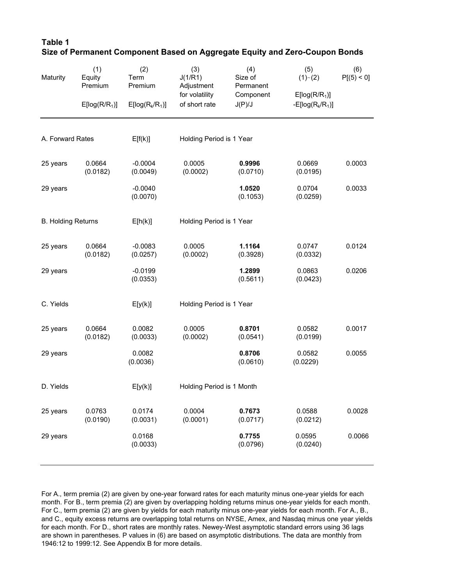| Maturity                  | (1)<br>Equity<br>Premium<br>E[log(R/R <sub>1</sub> )] | (2)<br>Term<br>Premium<br>$E[log(R_k/R_1)]$ | (3)<br>J(1/R1)<br>Adjustment<br>for volatility<br>of short rate | (4)<br>Size of<br>Permanent<br>Component<br>J(P)/J | (5)<br>$(1)$ ~ $(2)$<br>E[log(R/R <sub>1</sub> )]<br>-E[ $log(R_k/R_1)$ ] | (6)<br>P[(5) < 0] |
|---------------------------|-------------------------------------------------------|---------------------------------------------|-----------------------------------------------------------------|----------------------------------------------------|---------------------------------------------------------------------------|-------------------|
|                           |                                                       |                                             |                                                                 |                                                    |                                                                           |                   |
| A. Forward Rates          |                                                       | E[f(k)]                                     | Holding Period is 1 Year                                        |                                                    |                                                                           |                   |
| 25 years                  | 0.0664<br>(0.0182)                                    | $-0.0004$<br>(0.0049)                       | 0.0005<br>(0.0002)                                              | 0.9996<br>(0.0710)                                 | 0.0669<br>(0.0195)                                                        | 0.0003            |
| 29 years                  |                                                       | $-0.0040$<br>(0.0070)                       |                                                                 | 1.0520<br>(0.1053)                                 | 0.0704<br>(0.0259)                                                        | 0.0033            |
| <b>B. Holding Returns</b> |                                                       | E[h(k)]                                     | Holding Period is 1 Year                                        |                                                    |                                                                           |                   |
| 25 years                  | 0.0664<br>(0.0182)                                    | $-0.0083$<br>(0.0257)                       | 0.0005<br>(0.0002)                                              | 1.1164<br>(0.3928)                                 | 0.0747<br>(0.0332)                                                        | 0.0124            |
| 29 years                  |                                                       | $-0.0199$<br>(0.0353)                       |                                                                 | 1.2899<br>(0.5611)                                 | 0.0863<br>(0.0423)                                                        | 0.0206            |
| C. Yields                 |                                                       | E[y(k)]                                     | Holding Period is 1 Year                                        |                                                    |                                                                           |                   |
| 25 years                  | 0.0664<br>(0.0182)                                    | 0.0082<br>(0.0033)                          | 0.0005<br>(0.0002)                                              | 0.8701<br>(0.0541)                                 | 0.0582<br>(0.0199)                                                        | 0.0017            |
| 29 years                  |                                                       | 0.0082<br>(0.0036)                          |                                                                 | 0.8706<br>(0.0610)                                 | 0.0582<br>(0.0229)                                                        | 0.0055            |
| D. Yields                 |                                                       | E[y(k)]                                     | Holding Period is 1 Month                                       |                                                    |                                                                           |                   |
| 25 years                  | 0.0763<br>(0.0190)                                    | 0.0174<br>(0.0031)                          | 0.0004<br>(0.0001)                                              | 0.7673<br>(0.0717)                                 | 0.0588<br>(0.0212)                                                        | 0.0028            |
| 29 years                  |                                                       | 0.0168<br>(0.0033)                          |                                                                 | 0.7755<br>(0.0796)                                 | 0.0595<br>(0.0240)                                                        | 0.0066            |

**Table 1 Size of Permanent Component Based on Aggregate Equity and Zero-Coupon Bonds**

For A., term premia (2) are given by one-year forward rates for each maturity minus one-year yields for each month. For B., term premia (2) are given by overlapping holding returns minus one-year yields for each month. For C., term premia (2) are given by yields for each maturity minus one-year yields for each month. For A., B., and C., equity excess returns are overlapping total returns on NYSE, Amex, and Nasdaq minus one year yields for each month. For D., short rates are monthly rates. Newey-West asymptotic standard errors using 36 lags are shown in parentheses. P values in (6) are based on asymptotic distributions. The data are monthly from 1946:12 to 1999:12. See Appendix B for more details.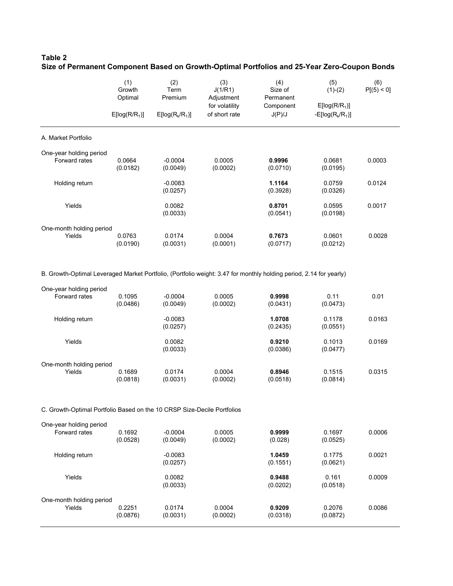### **Table 2 Size of Permanent Component Based on Growth-Optimal Portfolios and 25-Year Zero-Coupon Bonds**

|                          | (1)<br>Growth<br>Optimal<br>E[log(R/R <sub>1</sub> )] | (2)<br>Term<br>Premium<br>$E[log(R_k/R_1)]$ | (3)<br>J(1/R1)<br>Adjustment<br>for volatility<br>of short rate | (4)<br>Size of<br>Permanent<br>Component<br>J(P)/J | (5)<br>$(1)-(2)$<br>$E[log(R/R_1)]$<br>$-E[log(R_{k}/R_{1})]$ | (6)<br>P[(5) < 0] |
|--------------------------|-------------------------------------------------------|---------------------------------------------|-----------------------------------------------------------------|----------------------------------------------------|---------------------------------------------------------------|-------------------|
|                          |                                                       |                                             |                                                                 |                                                    |                                                               |                   |
| A. Market Portfolio      |                                                       |                                             |                                                                 |                                                    |                                                               |                   |
| One-year holding period  |                                                       |                                             |                                                                 |                                                    |                                                               |                   |
| Forward rates            | 0.0664<br>(0.0182)                                    | $-0.0004$<br>(0.0049)                       | 0.0005<br>(0.0002)                                              | 0.9996<br>(0.0710)                                 | 0.0681<br>(0.0195)                                            | 0.0003            |
| Holding return           |                                                       | $-0.0083$<br>(0.0257)                       |                                                                 | 1.1164<br>(0.3928)                                 | 0.0759<br>(0.0326)                                            | 0.0124            |
| Yields                   |                                                       | 0.0082<br>(0.0033)                          |                                                                 | 0.8701<br>(0.0541)                                 | 0.0595<br>(0.0198)                                            | 0.0017            |
| One-month holding period |                                                       |                                             |                                                                 |                                                    |                                                               |                   |
| Yields                   | 0.0763<br>(0.0190)                                    | 0.0174<br>(0.0031)                          | 0.0004<br>(0.0001)                                              | 0.7673<br>(0.0717)                                 | 0.0601<br>(0.0212)                                            | 0.0028            |

B. Growth-Optimal Leveraged Market Portfolio, (Portfolio weight: 3.47 for monthly holding period, 2.14 for yearly)

| One-year holding period  |          |           |          |          |          |        |
|--------------------------|----------|-----------|----------|----------|----------|--------|
| Forward rates            | 0.1095   | $-0.0004$ | 0.0005   | 0.9998   | 0.11     | 0.01   |
|                          | (0.0486) | (0.0049)  | (0.0002) | (0.0431) | (0.0473) |        |
| Holding return           |          | $-0.0083$ |          | 1.0708   | 0.1178   | 0.0163 |
|                          |          | (0.0257)  |          | (0.2435) | (0.0551) |        |
| Yields                   |          | 0.0082    |          | 0.9210   | 0.1013   | 0.0169 |
|                          |          | (0.0033)  |          | (0.0386) | (0.0477) |        |
| One-month holding period |          |           |          |          |          |        |
| Yields                   | 0.1689   | 0.0174    | 0.0004   | 0.8946   | 0.1515   | 0.0315 |
|                          | (0.0818) | (0.0031)  | (0.0002) | (0.0518) | (0.0814) |        |

#### C. Growth-Optimal Portfolio Based on the 10 CRSP Size-Decile Portfolios

| One-year holding period  |                    |                    |                    |                    |                    |        |
|--------------------------|--------------------|--------------------|--------------------|--------------------|--------------------|--------|
| Forward rates            | 0.1692             | $-0.0004$          | 0.0005             | 0.9999             | 0.1697             | 0.0006 |
|                          | (0.0528)           | (0.0049)           | (0.0002)           | (0.028)            | (0.0525)           |        |
| Holding return           |                    | $-0.0083$          |                    | 1.0459             | 0.1775             | 0.0021 |
|                          |                    | (0.0257)           |                    | (0.1551)           | (0.0621)           |        |
| Yields                   |                    | 0.0082             |                    | 0.9488             | 0.161              | 0.0009 |
|                          |                    | (0.0033)           |                    | (0.0202)           | (0.0518)           |        |
| One-month holding period |                    |                    |                    |                    |                    |        |
| Yields                   | 0.2251<br>(0.0876) | 0.0174<br>(0.0031) | 0.0004<br>(0.0002) | 0.9209<br>(0.0318) | 0.2076<br>(0.0872) | 0.0086 |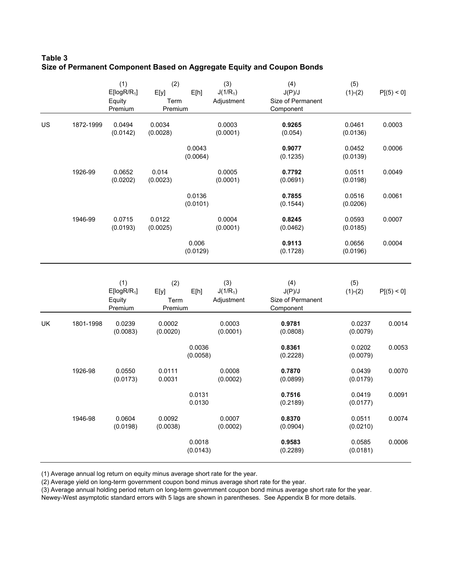### **Table 3 Size of Permanent Component Based on Aggregate Equity and Coupon Bonds**

|    |           | (1)<br>$E[logR/R_1]$<br>Equity<br>Premium | (2)<br>E[y]<br>Term<br>Premium | E[h]               | (3)<br>$J(1/R_1)$<br>Adjustment | (4)<br>J(P)/J<br>Size of Permanent<br>Component | (5)<br>$(1)-(2)$   | P[(5) < 0] |
|----|-----------|-------------------------------------------|--------------------------------|--------------------|---------------------------------|-------------------------------------------------|--------------------|------------|
| US | 1872-1999 | 0.0494<br>(0.0142)                        | 0.0034<br>(0.0028)             |                    | 0.0003<br>(0.0001)              | 0.9265<br>(0.054)                               | 0.0461<br>(0.0136) | 0.0003     |
|    |           |                                           |                                | 0.0043<br>(0.0064) |                                 | 0.9077<br>(0.1235)                              | 0.0452<br>(0.0139) | 0.0006     |
|    | 1926-99   | 0.0652<br>(0.0202)                        | 0.014<br>(0.0023)              |                    | 0.0005<br>(0.0001)              | 0.7792<br>(0.0691)                              | 0.0511<br>(0.0198) | 0.0049     |
|    |           |                                           |                                | 0.0136<br>(0.0101) |                                 | 0.7855<br>(0.1544)                              | 0.0516<br>(0.0206) | 0.0061     |
|    | 1946-99   | 0.0715<br>(0.0193)                        | 0.0122<br>(0.0025)             |                    | 0.0004<br>(0.0001)              | 0.8245<br>(0.0462)                              | 0.0593<br>(0.0185) | 0.0007     |
|    |           |                                           |                                | 0.006<br>(0.0129)  |                                 | 0.9113<br>(0.1728)                              | 0.0656<br>(0.0196) | 0.0004     |
|    |           | (1)<br>$E[logR/R_1]$<br>Equity<br>Premium | (2)<br>E[y]<br>Term<br>Premium | E[h]               | (3)<br>$J(1/R_1)$<br>Adjustment | (4)<br>J(P)/J<br>Size of Permanent<br>Component | (5)<br>$(1)-(2)$   | P[(5) < 0] |
| UK | 1801-1998 | 0.0239<br>(0.0083)                        | 0.0002<br>(0.0020)             |                    | 0.0003<br>(0.0001)              | 0.9781<br>(0.0808)                              | 0.0237<br>(0.0079) | 0.0014     |
|    |           |                                           |                                | 0.0036<br>(0.0058) |                                 | 0.8361<br>(0.2228)                              | 0.0202<br>(0.0079) | 0.0053     |
|    | 1926-98   | 0.0550<br>(0.0173)                        | 0.0111<br>0.0031               |                    | 0.0008<br>(0.0002)              | 0.7870<br>(0.0899)                              | 0.0439<br>(0.0179) | 0.0070     |
|    |           |                                           |                                | 0.0131<br>0.0130   |                                 | 0.7516<br>(0.2189)                              | 0.0419<br>(0.0177) | 0.0091     |
|    | 1946-98   | 0.0604<br>(0.0198)                        | 0.0092<br>(0.0038)             |                    | 0.0007<br>(0.0002)              | 0.8370<br>(0.0904)                              | 0.0511<br>(0.0210) | 0.0074     |
|    |           |                                           |                                | 0.0018<br>(0.0143) |                                 | 0.9583<br>(0.2289)                              | 0.0585<br>(0.0181) | 0.0006     |

(1) Average annual log return on equity minus average short rate for the year.

(2) Average yield on long-term government coupon bond minus average short rate for the year.

(3) Average annual holding period return on long-term government coupon bond minus average short rate for the year.

Newey-West asymptotic standard errors with 5 lags are shown in parentheses. See Appendix B for more details.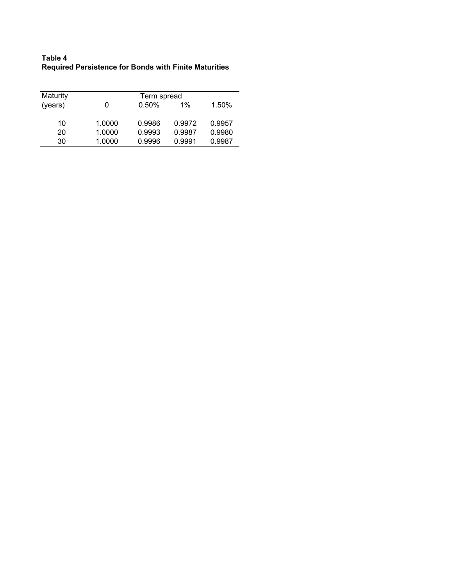| Table 4                                                      |  |
|--------------------------------------------------------------|--|
| <b>Required Persistence for Bonds with Finite Maturities</b> |  |

| Maturity |        | Term spread |        |        |  |  |  |  |  |
|----------|--------|-------------|--------|--------|--|--|--|--|--|
| (years)  |        | 0.50%       | $1\%$  | 1.50%  |  |  |  |  |  |
| 10       | 1.0000 | 0.9986      | 0.9972 | 0.9957 |  |  |  |  |  |
| 20       | 1.0000 | 0.9993      | 0.9987 | 0.9980 |  |  |  |  |  |
| 30       | 1.0000 | 0.9996      | 0.9991 | 0.9987 |  |  |  |  |  |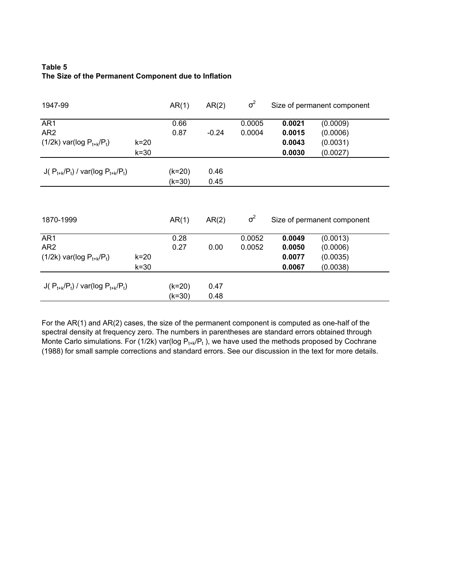### **Table 5 The Size of the Permanent Component due to Inflation**

| 1947-99                                      | AR(1)    | AR(2)    | $\sigma^2$ |            | Size of permanent component |                             |
|----------------------------------------------|----------|----------|------------|------------|-----------------------------|-----------------------------|
| AR1                                          |          | 0.66     |            | 0.0005     | 0.0021                      | (0.0009)                    |
| AR <sub>2</sub>                              |          | 0.87     | $-0.24$    | 0.0004     | 0.0015                      | (0.0006)                    |
| $(1/2k)$ var(log $P_{t+k}/P_t$ )             | $k=20$   |          |            |            | 0.0043                      | (0.0031)                    |
|                                              | $k = 30$ |          |            |            | 0.0030                      | (0.0027)                    |
| J( $P_{t+k}/P_t$ ) / var(log $P_{t+k}/P_t$ ) |          | $(k=20)$ | 0.46       |            |                             |                             |
|                                              |          | (k=30)   | 0.45       |            |                             |                             |
| 1870-1999                                    |          | AR(1)    | AR(2)      | $\sigma^2$ |                             | Size of permanent component |
| AR1                                          |          | 0.28     |            | 0.0052     | 0.0049                      | (0.0013)                    |
| AR <sub>2</sub>                              |          | 0.27     | 0.00       | 0.0052     | 0.0050                      | (0.0006)                    |
| $(1/2k)$ var(log $P_{t+k}/P_t$ )             | $k=20$   |          |            |            | 0.0077                      | (0.0035)                    |
|                                              | $k = 30$ |          |            |            | 0.0067                      | (0.0038)                    |
| J( $P_{t+k}/P_t$ ) / var(log $P_{t+k}/P_t$ ) |          | $(k=20)$ | 0.47       |            |                             |                             |
|                                              |          | (k=30)   | 0.48       |            |                             |                             |

For the AR(1) and AR(2) cases, the size of the permanent component is computed as one-half of the spectral density at frequency zero. The numbers in parentheses are standard errors obtained through Monte Carlo simulations. For (1/2k) var(log  $P_{t+k}/P_t$ ), we have used the methods proposed by Cochrane (1988) for small sample corrections and standard errors. See our discussion in the text for more details.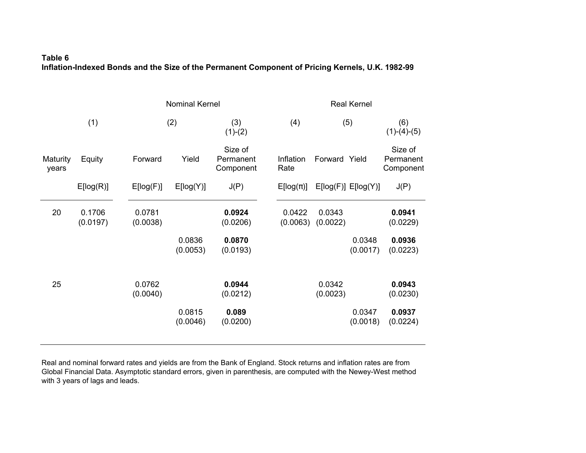### **Table 6 Inflation-Indexed Bonds and the Size of the Permanent Component of Pricing Kernels, U.K. 1982-9 9**

|                   |                    |                    | <b>Nominal Kernel</b> |                                   |  |                    | <b>Real Kernel</b> |                         |                                   |  |  |
|-------------------|--------------------|--------------------|-----------------------|-----------------------------------|--|--------------------|--------------------|-------------------------|-----------------------------------|--|--|
|                   | (1)                |                    | (2)                   |                                   |  | (4)                | (5)                |                         | (6)<br>$(1)-(4)-(5)$              |  |  |
| Maturity<br>years | Equity             | Forward            | Yield                 | Size of<br>Permanent<br>Component |  | Inflation<br>Rate  | Forward Yield      |                         | Size of<br>Permanent<br>Component |  |  |
|                   | E[log(R)]          | E[log(F)]          | E[log(Y)]             | J(P)                              |  | $E[log(\pi)]$      |                    | $E[log(F)]$ $E[log(Y)]$ | J(P)                              |  |  |
| 20                | 0.1706<br>(0.0197) | 0.0781<br>(0.0038) |                       | 0.0924<br>(0.0206)                |  | 0.0422<br>(0.0063) | 0.0343<br>(0.0022) |                         | 0.0941<br>(0.0229)                |  |  |
|                   |                    |                    | 0.0836<br>(0.0053)    | 0.0870<br>(0.0193)                |  |                    |                    | 0.0348<br>(0.0017)      | 0.0936<br>(0.0223)                |  |  |
| 25                |                    | 0.0762<br>(0.0040) |                       | 0.0944<br>(0.0212)                |  |                    | 0.0342<br>(0.0023) |                         | 0.0943<br>(0.0230)                |  |  |
|                   |                    |                    | 0.0815<br>(0.0046)    | 0.089<br>(0.0200)                 |  |                    |                    | 0.0347<br>(0.0018)      | 0.0937<br>(0.0224)                |  |  |

Real and nominal forward rates and yields are from the Bank of England. Stock returns and inflation rates are from Global Financial Data. Asymptotic standard errors, given in parenthesis, are computed with the Newey-West method with 3 years of lags and leads.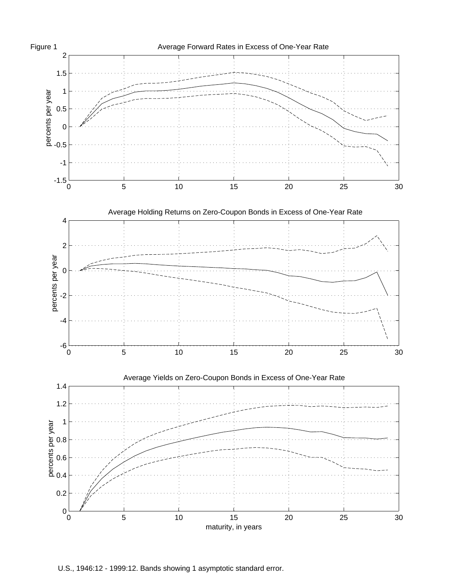

U.S., 1946:12 - 1999:12. Bands showing 1 asymptotic standard error.